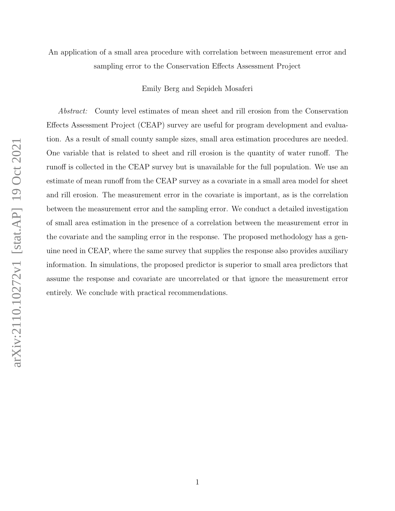# An application of a small area procedure with correlation between measurement error and sampling error to the Conservation Effects Assessment Project

Emily Berg and Sepideh Mosaferi

Abstract: County level estimates of mean sheet and rill erosion from the Conservation Effects Assessment Project (CEAP) survey are useful for program development and evaluation. As a result of small county sample sizes, small area estimation procedures are needed. One variable that is related to sheet and rill erosion is the quantity of water runoff. The runoff is collected in the CEAP survey but is unavailable for the full population. We use an estimate of mean runoff from the CEAP survey as a covariate in a small area model for sheet and rill erosion. The measurement error in the covariate is important, as is the correlation between the measurement error and the sampling error. We conduct a detailed investigation of small area estimation in the presence of a correlation between the measurement error in the covariate and the sampling error in the response. The proposed methodology has a genuine need in CEAP, where the same survey that supplies the response also provides auxiliary information. In simulations, the proposed predictor is superior to small area predictors that assume the response and covariate are uncorrelated or that ignore the measurement error entirely. We conclude with practical recommendations.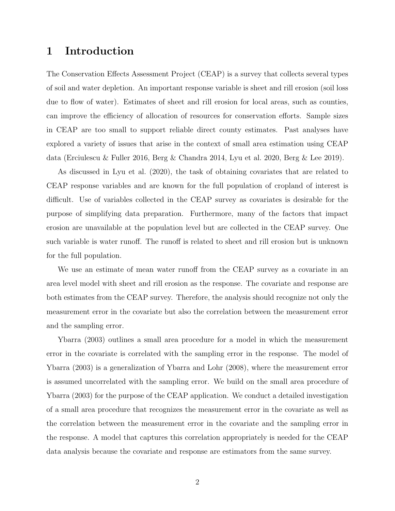# 1 Introduction

The Conservation Effects Assessment Project (CEAP) is a survey that collects several types of soil and water depletion. An important response variable is sheet and rill erosion (soil loss due to flow of water). Estimates of sheet and rill erosion for local areas, such as counties, can improve the efficiency of allocation of resources for conservation efforts. Sample sizes in CEAP are too small to support reliable direct county estimates. Past analyses have explored a variety of issues that arise in the context of small area estimation using CEAP data (Erciulescu & Fuller 2016, Berg & Chandra 2014, Lyu et al. 2020, Berg & Lee 2019).

As discussed in Lyu et al. (2020), the task of obtaining covariates that are related to CEAP response variables and are known for the full population of cropland of interest is difficult. Use of variables collected in the CEAP survey as covariates is desirable for the purpose of simplifying data preparation. Furthermore, many of the factors that impact erosion are unavailable at the population level but are collected in the CEAP survey. One such variable is water runoff. The runoff is related to sheet and rill erosion but is unknown for the full population.

We use an estimate of mean water runoff from the CEAP survey as a covariate in an area level model with sheet and rill erosion as the response. The covariate and response are both estimates from the CEAP survey. Therefore, the analysis should recognize not only the measurement error in the covariate but also the correlation between the measurement error and the sampling error.

Ybarra (2003) outlines a small area procedure for a model in which the measurement error in the covariate is correlated with the sampling error in the response. The model of Ybarra (2003) is a generalization of Ybarra and Lohr (2008), where the measurement error is assumed uncorrelated with the sampling error. We build on the small area procedure of Ybarra (2003) for the purpose of the CEAP application. We conduct a detailed investigation of a small area procedure that recognizes the measurement error in the covariate as well as the correlation between the measurement error in the covariate and the sampling error in the response. A model that captures this correlation appropriately is needed for the CEAP data analysis because the covariate and response are estimators from the same survey.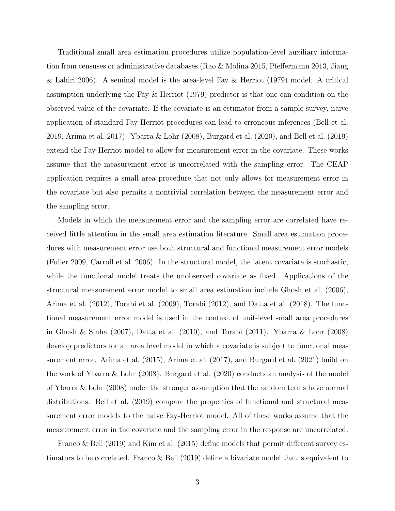Traditional small area estimation procedures utilize population-level auxiliary information from censuses or administrative databases (Rao & Molina 2015, Pfeffermann 2013, Jiang & Lahiri 2006). A seminal model is the area-level Fay & Herriot  $(1979)$  model. A critical assumption underlying the Fay & Herriot (1979) predictor is that one can condition on the observed value of the covariate. If the covariate is an estimator from a sample survey, naive application of standard Fay-Herriot procedures can lead to erroneous inferences (Bell et al. 2019, Arima et al. 2017). Ybarra & Lohr (2008), Burgard et al. (2020), and Bell et al. (2019) extend the Fay-Herriot model to allow for measurement error in the covariate. These works assume that the measurement error is uncorrelated with the sampling error. The CEAP application requires a small area procedure that not only allows for measurement error in the covariate but also permits a nontrivial correlation between the measurement error and the sampling error.

Models in which the measurement error and the sampling error are correlated have received little attention in the small area estimation literature. Small area estimation procedures with measurement error use both structural and functional measurement error models (Fuller 2009, Carroll et al. 2006). In the structural model, the latent covariate is stochastic, while the functional model treats the unobserved covariate as fixed. Applications of the structural measurement error model to small area estimation include Ghosh et al. (2006), Arima et al. (2012), Torabi et al. (2009), Torabi (2012), and Datta et al. (2018). The functional measurement error model is used in the context of unit-level small area procedures in Ghosh & Sinha (2007), Datta et al. (2010), and Torabi (2011). Ybarra & Lohr (2008) develop predictors for an area level model in which a covariate is subject to functional measurement error. Arima et al. (2015), Arima et al. (2017), and Burgard et al. (2021) build on the work of Ybarra & Lohr (2008). Burgard et al. (2020) conducts an analysis of the model of Ybarra & Lohr (2008) under the stronger assumption that the random terms have normal distributions. Bell et al. (2019) compare the properties of functional and structural measurement error models to the naive Fay-Herriot model. All of these works assume that the measurement error in the covariate and the sampling error in the response are uncorrelated.

Franco & Bell (2019) and Kim et al. (2015) define models that permit different survey estimators to be correlated. Franco & Bell (2019) define a bivariate model that is equivalent to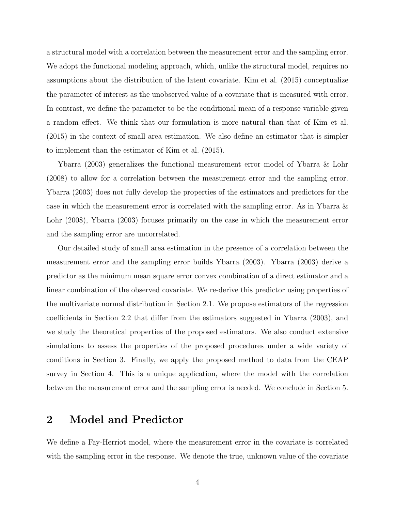a structural model with a correlation between the measurement error and the sampling error. We adopt the functional modeling approach, which, unlike the structural model, requires no assumptions about the distribution of the latent covariate. Kim et al. (2015) conceptualize the parameter of interest as the unobserved value of a covariate that is measured with error. In contrast, we define the parameter to be the conditional mean of a response variable given a random effect. We think that our formulation is more natural than that of Kim et al. (2015) in the context of small area estimation. We also define an estimator that is simpler to implement than the estimator of Kim et al. (2015).

Ybarra (2003) generalizes the functional measurement error model of Ybarra & Lohr (2008) to allow for a correlation between the measurement error and the sampling error. Ybarra (2003) does not fully develop the properties of the estimators and predictors for the case in which the measurement error is correlated with the sampling error. As in Ybarra  $\&$ Lohr (2008), Ybarra (2003) focuses primarily on the case in which the measurement error and the sampling error are uncorrelated.

Our detailed study of small area estimation in the presence of a correlation between the measurement error and the sampling error builds Ybarra (2003). Ybarra (2003) derive a predictor as the minimum mean square error convex combination of a direct estimator and a linear combination of the observed covariate. We re-derive this predictor using properties of the multivariate normal distribution in Section 2.1. We propose estimators of the regression coefficients in Section 2.2 that differ from the estimators suggested in Ybarra (2003), and we study the theoretical properties of the proposed estimators. We also conduct extensive simulations to assess the properties of the proposed procedures under a wide variety of conditions in Section 3. Finally, we apply the proposed method to data from the CEAP survey in Section 4. This is a unique application, where the model with the correlation between the measurement error and the sampling error is needed. We conclude in Section 5.

# 2 Model and Predictor

We define a Fay-Herriot model, where the measurement error in the covariate is correlated with the sampling error in the response. We denote the true, unknown value of the covariate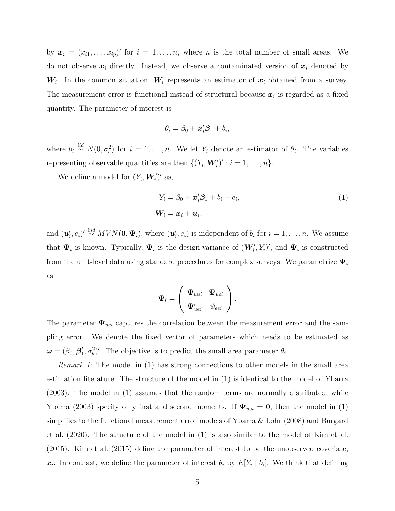by  $\mathbf{x}_i = (x_{i1}, \ldots, x_{ip})'$  for  $i = 1, \ldots, n$ , where n is the total number of small areas. We do not observe  $x_i$  directly. Instead, we observe a contaminated version of  $x_i$  denoted by  $W_i$ . In the common situation,  $W_i$  represents an estimator of  $x_i$  obtained from a survey. The measurement error is functional instead of structural because  $x_i$  is regarded as a fixed quantity. The parameter of interest is

$$
\theta_i = \beta_0 + \boldsymbol{x}_i' \boldsymbol{\beta}_1 + b_i,
$$

where  $b_i \stackrel{iid}{\sim} N(0, \sigma_i^2)$  for  $i = 1, \ldots, n$ . We let  $Y_i$  denote an estimator of  $\theta_i$ . The variables representing observable quantities are then  $\{(Y_i, \mathbf{W}'_i)': i = 1, ..., n\}.$ 

We define a model for  $(Y_i, W'_i)'$  as,

$$
Y_i = \beta_0 + \mathbf{x}'_i \mathbf{\beta}_1 + b_i + e_i,
$$
  

$$
\mathbf{W}_i = \mathbf{x}_i + \mathbf{u}_i,
$$
 (1)

and  $(\boldsymbol{u}'_i, e_i)' \stackrel{ind}{\sim} MVN(\boldsymbol{0}, \boldsymbol{\Psi}_i)$ , where  $(\boldsymbol{u}'_i, e_i)$  is independent of  $b_i$  for  $i = 1, \ldots, n$ . We assume that  $\Psi_i$  is known. Typically,  $\Psi_i$  is the design-variance of  $(W'_i, Y_i)'$ , and  $\Psi_i$  is constructed from the unit-level data using standard procedures for complex surveys. We parametrize  $\Psi_i$ as

$$
\boldsymbol{\Psi}_i = \left( \begin{array}{cc} \boldsymbol{\Psi}_{uui} & \boldsymbol{\Psi}_{uei} \\ \boldsymbol{\Psi}_{uei}' & \psi_{eei} \end{array} \right).
$$

The parameter  $\Psi_{uei}$  captures the correlation between the measurement error and the sampling error. We denote the fixed vector of parameters which needs to be estimated as  $\boldsymbol{\omega} = (\beta_0, \beta_1', \sigma_b^2)'$ . The objective is to predict the small area parameter  $\theta_i$ .

Remark 1: The model in (1) has strong connections to other models in the small area estimation literature. The structure of the model in (1) is identical to the model of Ybarra (2003). The model in (1) assumes that the random terms are normally distributed, while Ybarra (2003) specify only first and second moments. If  $\Psi_{uei} = 0$ , then the model in (1) simplifies to the functional measurement error models of Ybarra & Lohr (2008) and Burgard et al. (2020). The structure of the model in (1) is also similar to the model of Kim et al. (2015). Kim et al. (2015) define the parameter of interest to be the unobserved covariate,  $x_i$ . In contrast, we define the parameter of interest  $\theta_i$  by  $E[Y_i | b_i]$ . We think that defining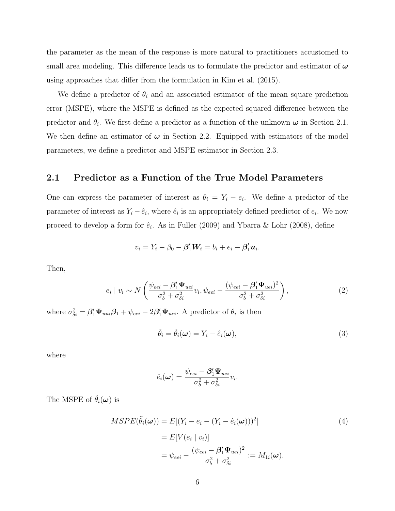the parameter as the mean of the response is more natural to practitioners accustomed to small area modeling. This difference leads us to formulate the predictor and estimator of  $\omega$ using approaches that differ from the formulation in Kim et al. (2015).

We define a predictor of  $\theta_i$  and an associated estimator of the mean square prediction error (MSPE), where the MSPE is defined as the expected squared difference between the predictor and  $\theta_i$ . We first define a predictor as a function of the unknown  $\omega$  in Section 2.1. We then define an estimator of  $\omega$  in Section 2.2. Equipped with estimators of the model parameters, we define a predictor and MSPE estimator in Section 2.3.

#### 2.1 Predictor as a Function of the True Model Parameters

One can express the parameter of interest as  $\theta_i = Y_i - e_i$ . We define a predictor of the parameter of interest as  $Y_i - \hat{e}_i$ , where  $\hat{e}_i$  is an appropriately defined predictor of  $e_i$ . We now proceed to develop a form for  $\hat{e}_i$ . As in Fuller (2009) and Ybarra & Lohr (2008), define

$$
v_i = Y_i - \beta_0 - \beta'_1 W_i = b_i + e_i - \beta'_1 u_i.
$$

Then,

$$
e_i \mid v_i \sim N\left(\frac{\psi_{eei} - \beta_1' \Psi_{uei}}{\sigma_b^2 + \sigma_{\delta i}^2} v_i, \psi_{eei} - \frac{(\psi_{eei} - \beta_1' \Psi_{uei})^2}{\sigma_b^2 + \sigma_{\delta i}^2}\right),\tag{2}
$$

where  $\sigma_{\delta i}^2 = \beta_1' \Psi_{uui} \beta_1 + \psi_{eei} - 2\beta_1' \Psi_{uei}$ . A predictor of  $\theta_i$  is then

$$
\tilde{\theta}_i = \tilde{\theta}_i(\boldsymbol{\omega}) = Y_i - \hat{e}_i(\boldsymbol{\omega}),\tag{3}
$$

where

$$
\hat{e}_i(\boldsymbol{\omega}) = \frac{\psi_{eei} - \beta_1' \boldsymbol{\Psi}_{uei}}{\sigma_b^2 + \sigma_{\delta i}^2} v_i.
$$

The MSPE of  $\tilde{\theta}_i(\boldsymbol{\omega})$  is

$$
MSPE(\tilde{\theta}_i(\boldsymbol{\omega})) = E[(Y_i - e_i - (Y_i - \hat{e}_i(\boldsymbol{\omega})))^2]
$$
  
=  $E[V(e_i | v_i)]$   
=  $\psi_{eei} - \frac{(\psi_{eei} - \beta'_1 \Psi_{uei})^2}{\sigma_b^2 + \sigma_{\delta i}^2} := M_{1i}(\boldsymbol{\omega}).$  (4)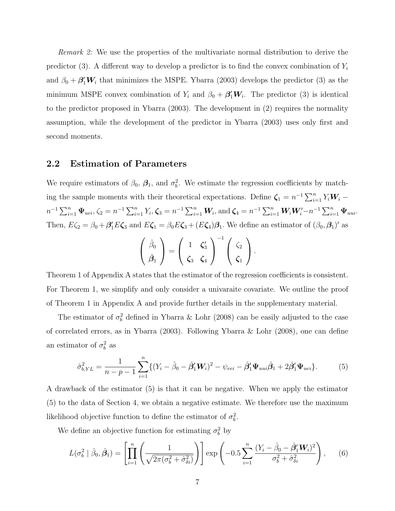Remark 2: We use the properties of the multivariate normal distribution to derive the predictor (3). A different way to develop a predictor is to find the convex combination of  $Y_i$ and  $\beta_0 + \beta_1' W_i$  that minimizes the MSPE. Ybarra (2003) develops the predictor (3) as the minimum MSPE convex combination of  $Y_i$  and  $\beta_0 + \beta'_1 W_i$ . The predictor (3) is identical to the predictor proposed in Ybarra (2003). The development in (2) requires the normality assumption, while the development of the predictor in Ybarra (2003) uses only first and second moments.

#### 2.2 Estimation of Parameters

We require estimators of  $\beta_0$ ,  $\beta_1$ , and  $\sigma_b^2$ . We estimate the regression coefficients by matching the sample moments with their theoretical expectations. Define  $\zeta_1 = n^{-1} \sum_{i=1}^n Y_i W_i$  –  $n^{-1} \sum_{i=1}^{n} \Psi_{uei}, \zeta_2 = n^{-1} \sum_{i=1}^{n} Y_i, \zeta_3 = n^{-1} \sum_{i=1}^{n} W_i$ , and  $\zeta_4 = n^{-1} \sum_{i=1}^{n} W_i W_i' - n^{-1} \sum_{i=1}^{n} \Psi_{uui}$ . Then,  $E\zeta_2 = \beta_0 + \beta'_1 E\zeta_3$  and  $E\zeta_1 = \beta_0 E\zeta_3 + (E\zeta_4)\beta_1$ . We define an estimator of  $(\beta_0, \beta_1)'$  as

$$
\left(\begin{array}{c}\hat{\beta}_0\\ \hat{\beta}_1\end{array}\right)=\left(\begin{array}{cc}1 & \zeta'_3\\ \zeta_3 & \zeta_4\end{array}\right)^{-1}\left(\begin{array}{c}\zeta_2\\ \zeta_1\end{array}\right).
$$

Theorem 1 of Appendix A states that the estimator of the regression coefficients is consistent. For Theorem 1, we simplify and only consider a univaraite covariate. We outline the proof of Theorem 1 in Appendix A and provide further details in the supplementary material.

The estimator of  $\sigma_b^2$  defined in Ybarra & Lohr (2008) can be easily adjusted to the case of correlated errors, as in Ybarra (2003). Following Ybarra & Lohr (2008), one can define an estimator of  $\sigma_b^2$  as

$$
\hat{\sigma}_{b,YL}^2 = \frac{1}{n - p - 1} \sum_{i=1}^n \{ (Y_i - \hat{\beta}_0 - \hat{\beta}'_1 \mathbf{W}_i)^2 - \psi_{eei} - \hat{\beta}'_1 \mathbf{\Psi}_{uni} \hat{\beta}_1 + 2 \hat{\beta}'_1 \mathbf{\Psi}_{uei} \}.
$$
 (5)

A drawback of the estimator (5) is that it can be negative. When we apply the estimator (5) to the data of Section 4, we obtain a negative estimate. We therefore use the maximum likelihood objective function to define the estimator of  $\sigma_b^2$ .

We define an objective function for estimating  $\sigma_b^2$  by

$$
L(\sigma_b^2 \mid \hat{\beta}_0, \hat{\beta}_1) = \left[ \prod_{i=1}^n \left( \frac{1}{\sqrt{2\pi(\sigma_b^2 + \hat{\sigma}_{\delta_i}^2)}} \right) \right] \exp\left( -0.5 \sum_{i=1}^n \frac{(Y_i - \hat{\beta}_0 - \hat{\beta}_1' W_i)^2}{\sigma_b^2 + \hat{\sigma}_{\delta_i}^2} \right), \quad (6)
$$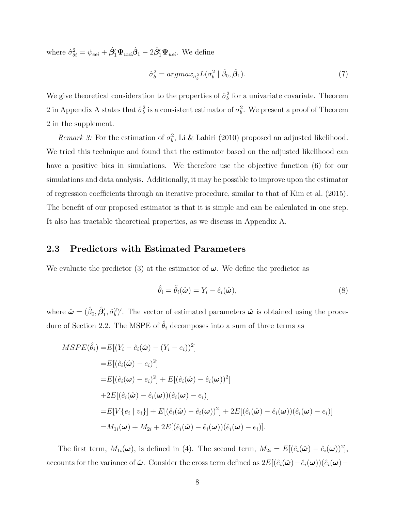where  $\hat{\sigma}_{\delta i}^2 = \psi_{eei} + \hat{\beta}_1' \Psi_{uui} \hat{\beta}_1 - 2 \hat{\beta}_1' \Psi_{uei}$ . We define

$$
\hat{\sigma}_b^2 = argmax_{\sigma_b^2} L(\sigma_b^2 \mid \hat{\beta}_0, \hat{\boldsymbol{\beta}}_1). \tag{7}
$$

We give theoretical consideration to the properties of  $\hat{\sigma}_b^2$  for a univariate covariate. Theorem 2 in Appendix A states that  $\hat{\sigma}_b^2$  is a consistent estimator of  $\sigma_b^2$ . We present a proof of Theorem 2 in the supplement.

Remark 3: For the estimation of  $\sigma_b^2$ , Li & Lahiri (2010) proposed an adjusted likelihood. We tried this technique and found that the estimator based on the adjusted likelihood can have a positive bias in simulations. We therefore use the objective function (6) for our simulations and data analysis. Additionally, it may be possible to improve upon the estimator of regression coefficients through an iterative procedure, similar to that of Kim et al. (2015). The benefit of our proposed estimator is that it is simple and can be calculated in one step. It also has tractable theoretical properties, as we discuss in Appendix A.

#### 2.3 Predictors with Estimated Parameters

We evaluate the predictor (3) at the estimator of  $\omega$ . We define the predictor as

$$
\hat{\theta}_i = \tilde{\theta}_i(\hat{\boldsymbol{\omega}}) = Y_i - \hat{e}_i(\hat{\boldsymbol{\omega}}),\tag{8}
$$

where  $\hat{\boldsymbol{\omega}} = (\hat{\beta}_0, \hat{\boldsymbol{\beta}}'_1, \hat{\sigma}_b^2)'$ . The vector of estimated parameters  $\hat{\boldsymbol{\omega}}$  is obtained using the procedure of Section 2.2. The MSPE of  $\hat{\theta}_i$  decomposes into a sum of three terms as

$$
MSPE(\hat{\theta}_i) = E[(Y_i - \hat{e}_i(\hat{\omega}) - (Y_i - e_i))^2]
$$
  
\n
$$
= E[(\hat{e}_i(\hat{\omega}) - e_i)^2]
$$
  
\n
$$
= E[(\hat{e}_i(\omega) - e_i)^2] + E[(\hat{e}_i(\hat{\omega}) - \hat{e}_i(\omega))^2]
$$
  
\n
$$
+ 2E[(\hat{e}_i(\hat{\omega}) - \hat{e}_i(\omega))(\hat{e}_i(\omega) - e_i)]
$$
  
\n
$$
= E[V\{e_i \mid v_i\}] + E[(\hat{e}_i(\hat{\omega}) - \hat{e}_i(\omega))^2] + 2E[(\hat{e}_i(\hat{\omega}) - \hat{e}_i(\omega))(\hat{e}_i(\omega) - e_i)]
$$
  
\n
$$
= M_{1i}(\omega) + M_{2i} + 2E[(\hat{e}_i(\hat{\omega}) - \hat{e}_i(\omega))(\hat{e}_i(\omega) - e_i)].
$$

The first term,  $M_{1i}(\omega)$ , is defined in (4). The second term,  $M_{2i} = E[(\hat{e}_i(\hat{\omega}) - \hat{e}_i(\omega))^2]$ , accounts for the variance of  $\hat{\omega}$ . Consider the cross term defined as  $2E[(\hat{e}_i(\hat{\omega})-\hat{e}_i(\omega))(\hat{e}_i(\omega)-\hat{e}_i(\omega))]$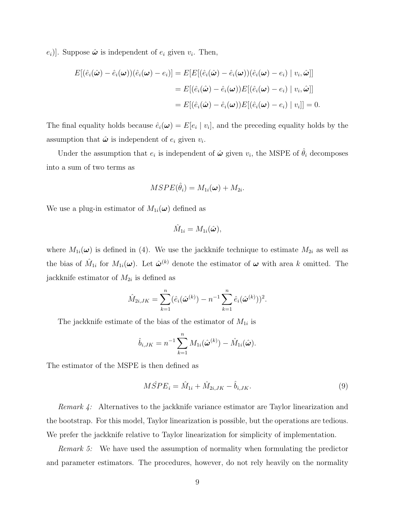$(e_i)$ . Suppose  $\hat{\boldsymbol{\omega}}$  is independent of  $e_i$  given  $v_i$ . Then,

$$
E[(\hat{e}_i(\hat{\boldsymbol{\omega}}) - \hat{e}_i(\boldsymbol{\omega}))(\hat{e}_i(\boldsymbol{\omega}) - e_i)] = E[E[(\hat{e}_i(\hat{\boldsymbol{\omega}}) - \hat{e}_i(\boldsymbol{\omega}))(\hat{e}_i(\boldsymbol{\omega}) - e_i) | v_i, \hat{\boldsymbol{\omega}}]]
$$
  
\n
$$
= E[(\hat{e}_i(\hat{\boldsymbol{\omega}}) - \hat{e}_i(\boldsymbol{\omega}))E[(\hat{e}_i(\boldsymbol{\omega}) - e_i) | v_i, \hat{\boldsymbol{\omega}}]]
$$
  
\n
$$
= E[(\hat{e}_i(\hat{\boldsymbol{\omega}}) - \hat{e}_i(\boldsymbol{\omega}))E[(\hat{e}_i(\boldsymbol{\omega}) - e_i) | v_i]] = 0.
$$

The final equality holds because  $\hat{e}_i(\omega) = E[e_i \mid v_i]$ , and the preceding equality holds by the assumption that  $\hat{\boldsymbol{\omega}}$  is independent of  $e_i$  given  $v_i$ .

Under the assumption that  $e_i$  is independent of  $\hat{\boldsymbol{\omega}}$  given  $v_i$ , the MSPE of  $\hat{\theta}_i$  decomposes into a sum of two terms as

$$
MSPE(\hat{\theta}_i) = M_{1i}(\boldsymbol{\omega}) + M_{2i}.
$$

We use a plug-in estimator of  $M_{1i}(\omega)$  defined as

$$
\hat{M}_{1i}=M_{1i}(\hat{\boldsymbol{\omega}}),
$$

where  $M_{1i}(\omega)$  is defined in (4). We use the jackknife technique to estimate  $M_{2i}$  as well as the bias of  $\hat{M}_{1i}$  for  $M_{1i}(\omega)$ . Let  $\hat{\omega}^{(k)}$  denote the estimator of  $\omega$  with area k omitted. The jackknife estimator of  $M_{2i}$  is defined as

$$
\hat{M}_{2i,JK} = \sum_{k=1}^{n} (\hat{e}_i(\hat{\boldsymbol{\omega}}^{(k)}) - n^{-1} \sum_{k=1}^{n} \hat{e}_i(\hat{\boldsymbol{\omega}}^{(k)}))^2.
$$

The jackknife estimate of the bias of the estimator of  $M_{1i}$  is

$$
\hat{b}_{i,JK} = n^{-1} \sum_{k=1}^{n} M_{1i}(\hat{\boldsymbol{\omega}}^{(k)}) - \hat{M}_{1i}(\hat{\boldsymbol{\omega}}).
$$

The estimator of the MSPE is then defined as

$$
M\hat{S}PE_i = \hat{M}_{1i} + \hat{M}_{2i,JK} - \hat{b}_{i,JK}.
$$
\n(9)

Remark 4: Alternatives to the jackknife variance estimator are Taylor linearization and the bootstrap. For this model, Taylor linearization is possible, but the operations are tedious. We prefer the jackknife relative to Taylor linearization for simplicity of implementation.

Remark 5: We have used the assumption of normality when formulating the predictor and parameter estimators. The procedures, however, do not rely heavily on the normality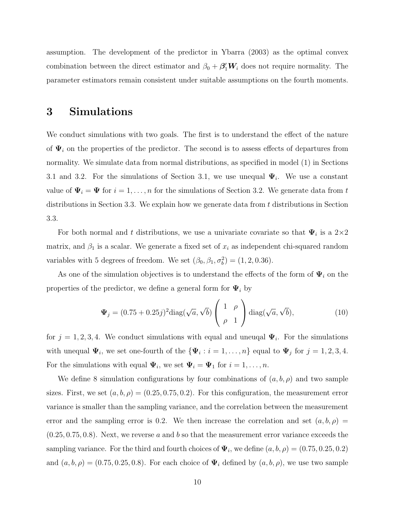assumption. The development of the predictor in Ybarra (2003) as the optimal convex combination between the direct estimator and  $\beta_0 + \beta_1' W_i$  does not require normality. The parameter estimators remain consistent under suitable assumptions on the fourth moments.

## 3 Simulations

We conduct simulations with two goals. The first is to understand the effect of the nature of  $\Psi_i$  on the properties of the predictor. The second is to assess effects of departures from normality. We simulate data from normal distributions, as specified in model (1) in Sections 3.1 and 3.2. For the simulations of Section 3.1, we use unequal  $\Psi_i$ . We use a constant value of  $\Psi_i = \Psi$  for  $i = 1, ..., n$  for the simulations of Section 3.2. We generate data from t distributions in Section 3.3. We explain how we generate data from  $t$  distributions in Section 3.3.

For both normal and t distributions, we use a univariate covariate so that  $\Psi_i$  is a  $2\times 2$ matrix, and  $\beta_1$  is a scalar. We generate a fixed set of  $x_i$  as independent chi-squared random variables with 5 degrees of freedom. We set  $(\beta_0, \beta_1, \sigma_b^2) = (1, 2, 0.36)$ .

As one of the simulation objectives is to understand the effects of the form of  $\Psi_i$  on the properties of the predictor, we define a general form for  $\Psi_i$  by

$$
\Psi_j = (0.75 + 0.25j)^2 \text{diag}(\sqrt{a}, \sqrt{b}) \begin{pmatrix} 1 & \rho \\ \rho & 1 \end{pmatrix} \text{diag}(\sqrt{a}, \sqrt{b}), \tag{10}
$$

for  $j = 1, 2, 3, 4$ . We conduct simulations with equal and uneuqal  $\Psi_i$ . For the simulations with unequal  $\Psi_i$ , we set one-fourth of the  ${\lbrace \Psi_i : i = 1, \ldots, n \rbrace}$  equal to  $\Psi_j$  for  $j = 1, 2, 3, 4$ . For the simulations with equal  $\Psi_i$ , we set  $\Psi_i = \Psi_1$  for  $i = 1, \ldots, n$ .

We define 8 simulation configurations by four combinations of  $(a, b, \rho)$  and two sample sizes. First, we set  $(a, b, \rho) = (0.25, 0.75, 0.2)$ . For this configuration, the measurement error variance is smaller than the sampling variance, and the correlation between the measurement error and the sampling error is 0.2. We then increase the correlation and set  $(a, b, \rho)$  =  $(0.25, 0.75, 0.8)$ . Next, we reverse a and b so that the measurement error variance exceeds the sampling variance. For the third and fourth choices of  $\Psi_i$ , we define  $(a, b, \rho) = (0.75, 0.25, 0.2)$ and  $(a, b, \rho) = (0.75, 0.25, 0.8)$ . For each choice of  $\Psi_i$  defined by  $(a, b, \rho)$ , we use two sample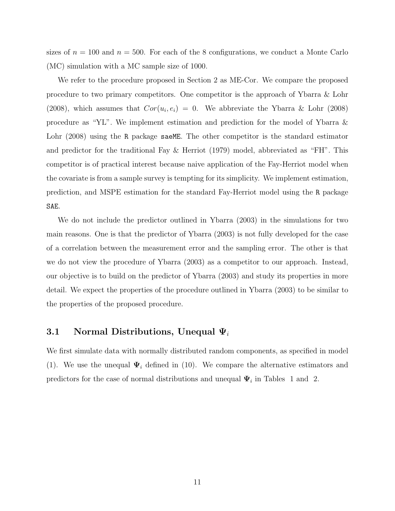sizes of  $n = 100$  and  $n = 500$ . For each of the 8 configurations, we conduct a Monte Carlo (MC) simulation with a MC sample size of 1000.

We refer to the procedure proposed in Section 2 as ME-Cor. We compare the proposed procedure to two primary competitors. One competitor is the approach of Ybarra & Lohr (2008), which assumes that  $Cor(u_i, e_i) = 0$ . We abbreviate the Ybarra & Lohr (2008) procedure as "YL". We implement estimation and prediction for the model of Ybarra & Lohr (2008) using the R package saeME. The other competitor is the standard estimator and predictor for the traditional Fay & Herriot (1979) model, abbreviated as "FH". This competitor is of practical interest because naive application of the Fay-Herriot model when the covariate is from a sample survey is tempting for its simplicity. We implement estimation, prediction, and MSPE estimation for the standard Fay-Herriot model using the R package SAE.

We do not include the predictor outlined in Ybarra (2003) in the simulations for two main reasons. One is that the predictor of Ybarra (2003) is not fully developed for the case of a correlation between the measurement error and the sampling error. The other is that we do not view the procedure of Ybarra (2003) as a competitor to our approach. Instead, our objective is to build on the predictor of Ybarra (2003) and study its properties in more detail. We expect the properties of the procedure outlined in Ybarra (2003) to be similar to the properties of the proposed procedure.

#### 3.1 Normal Distributions, Unequal  $\Psi_i$

We first simulate data with normally distributed random components, as specified in model (1). We use the unequal  $\Psi_i$  defined in (10). We compare the alternative estimators and predictors for the case of normal distributions and unequal  $\Psi_i$  in Tables 1 and 2.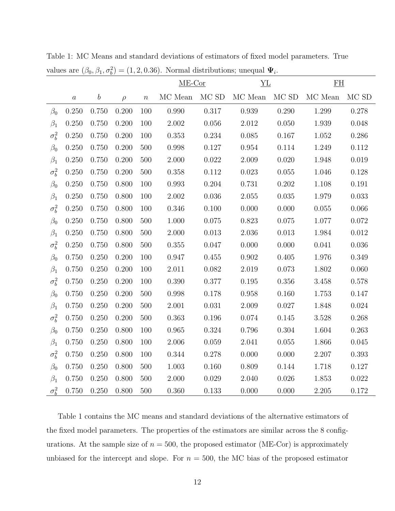|              |                  |                  |        |                  | $ME-Cor$      |                   | YL            |           | $\underline{\mathrm{FH}}$ |             |
|--------------|------------------|------------------|--------|------------------|---------------|-------------------|---------------|-----------|---------------------------|-------------|
|              | $\boldsymbol{a}$ | $\boldsymbol{b}$ | $\rho$ | $\boldsymbol{n}$ | $\rm MC$ Mean | $\rm MC$ $\rm SD$ | $\rm MC$ Mean | $MCSD$    | $\rm MC$ Mean             | MC SD       |
| $\beta_0$    | 0.250            | 0.750            | 0.200  | 100              | 0.990         | 0.317             | 0.939         | 0.290     | 1.299                     | 0.278       |
| $\beta_1$    | 0.250            | 0.750            | 0.200  | 100              | $2.002\,$     | 0.056             | $2.012\,$     | 0.050     | 1.939                     | 0.048       |
| $\sigma_b^2$ | 0.250            | 0.750            | 0.200  | 100              | 0.353         | 0.234             | $0.085\,$     | 0.167     | 1.052                     | $0.286\,$   |
| $\beta_0$    | 0.250            | 0.750            | 0.200  | 500              | 0.998         | 0.127             | $\,0.954\,$   | 0.114     | 1.249                     | 0.112       |
| $\beta_1$    | 0.250            | 0.750            | 0.200  | 500              | $2.000\,$     | $0.022\,$         | $2.009\,$     | $0.020\,$ | 1.948                     | 0.019       |
| $\sigma_b^2$ | 0.250            | 0.750            | 0.200  | 500              | 0.358         | 0.112             | 0.023         | 0.055     | 1.046                     | 0.128       |
| $\beta_0$    | 0.250            | 0.750            | 0.800  | 100              | $\,0.993\,$   | 0.204             | 0.731         | 0.202     | 1.108                     | 0.191       |
| $\beta_1$    | 0.250            | 0.750            | 0.800  | 100              | 2.002         | 0.036             | $2.055\,$     | $0.035\,$ | 1.979                     | 0.033       |
| $\sigma_b^2$ | 0.250            | 0.750            | 0.800  | 100              | 0.346         | 0.100             | $0.000\,$     | 0.000     | 0.055                     | 0.066       |
| $\beta_0$    | 0.250            | 0.750            | 0.800  | 500              | 1.000         | 0.075             | 0.823         | 0.075     | 1.077                     | $0.072\,$   |
| $\beta_1$    | 0.250            | 0.750            | 0.800  | 500              | 2.000         | 0.013             | $2.036\,$     | 0.013     | 1.984                     | 0.012       |
| $\sigma_b^2$ | 0.250            | 0.750            | 0.800  | 500              | $0.355\,$     | 0.047             | 0.000         | 0.000     | 0.041                     | $0.036\,$   |
| $\beta_0$    | 0.750            | 0.250            | 0.200  | 100              | 0.947         | 0.455             | 0.902         | 0.405     | 1.976                     | 0.349       |
| $\beta_1$    | 0.750            | 0.250            | 0.200  | 100              | 2.011         | 0.082             | $2.019\,$     | 0.073     | 1.802                     | 0.060       |
| $\sigma_b^2$ | 0.750            | 0.250            | 0.200  | 100              | 0.390         | 0.377             | $0.195\,$     | $0.356\,$ | 3.458                     | 0.578       |
| $\beta_0$    | 0.750            | 0.250            | 0.200  | 500              | 0.998         | 0.178             | $0.958\,$     | 0.160     | 1.753                     | 0.147       |
| $\beta_1$    | 0.750            | 0.250            | 0.200  | 500              | 2.001         | $0.031\,$         | 2.009         | 0.027     | 1.848                     | $\,0.024\,$ |
| $\sigma_b^2$ | 0.750            | 0.250            | 0.200  | 500              | 0.363         | 0.196             | $0.074\,$     | 0.145     | 3.528                     | 0.268       |
| $\beta_0$    | 0.750            | 0.250            | 0.800  | 100              | $\,0.965\,$   | $0.324\,$         | $0.796\,$     | 0.304     | 1.604                     | 0.263       |
| $\beta_1$    | 0.750            | 0.250            | 0.800  | 100              | $2.006\,$     | 0.059             | 2.041         | 0.055     | 1.866                     | 0.045       |
| $\sigma_b^2$ | 0.750            | 0.250            | 0.800  | 100              | 0.344         | 0.278             | 0.000         | 0.000     | 2.207                     | 0.393       |
| $\beta_0$    | 0.750            | 0.250            | 0.800  | 500              | $1.003\,$     | 0.160             | $0.809\,$     | 0.144     | 1.718                     | $0.127\,$   |
| $\beta_1$    | 0.750            | 0.250            | 0.800  | 500              | 2.000         | 0.029             | 2.040         | 0.026     | 1.853                     | 0.022       |
| $\sigma_b^2$ | 0.750            | 0.250            | 0.800  | 500              | 0.360         | 0.133             | 0.000         | 0.000     | 2.205                     | 0.172       |

Table 1: MC Means and standard deviations of estimators of fixed model parameters. True values are  $(\beta_0, \beta_1, \sigma_b^2) = (1, 2, 0.36)$ . Normal distributions; unequal  $\Psi_i$ .

Table 1 contains the MC means and standard deviations of the alternative estimators of the fixed model parameters. The properties of the estimators are similar across the 8 configurations. At the sample size of  $n = 500$ , the proposed estimator (ME-Cor) is approximately unbiased for the intercept and slope. For  $n = 500$ , the MC bias of the proposed estimator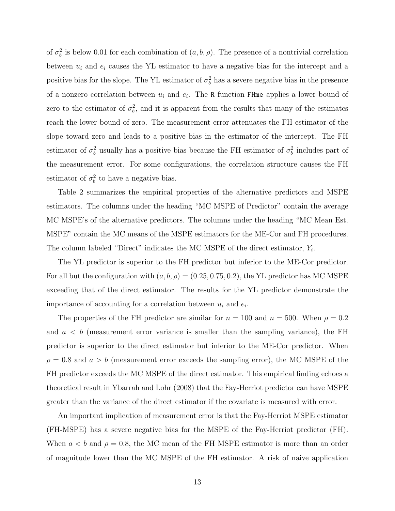of  $\sigma_b^2$  is below 0.01 for each combination of  $(a, b, \rho)$ . The presence of a nontrivial correlation between  $u_i$  and  $e_i$  causes the YL estimator to have a negative bias for the intercept and a positive bias for the slope. The YL estimator of  $\sigma_b^2$  has a severe negative bias in the presence of a nonzero correlation between  $u_i$  and  $e_i$ . The R function FHme applies a lower bound of zero to the estimator of  $\sigma_b^2$ , and it is apparent from the results that many of the estimates reach the lower bound of zero. The measurement error attenuates the FH estimator of the slope toward zero and leads to a positive bias in the estimator of the intercept. The FH estimator of  $\sigma_b^2$  usually has a positive bias because the FH estimator of  $\sigma_b^2$  includes part of the measurement error. For some configurations, the correlation structure causes the FH estimator of  $\sigma_b^2$  to have a negative bias.

Table 2 summarizes the empirical properties of the alternative predictors and MSPE estimators. The columns under the heading "MC MSPE of Predictor" contain the average MC MSPE's of the alternative predictors. The columns under the heading "MC Mean Est. MSPE" contain the MC means of the MSPE estimators for the ME-Cor and FH procedures. The column labeled "Direct" indicates the MC MSPE of the direct estimator,  $Y_i$ .

The YL predictor is superior to the FH predictor but inferior to the ME-Cor predictor. For all but the configuration with  $(a, b, \rho) = (0.25, 0.75, 0.2)$ , the YL predictor has MC MSPE exceeding that of the direct estimator. The results for the YL predictor demonstrate the importance of accounting for a correlation between  $u_i$  and  $e_i$ .

The properties of the FH predictor are similar for  $n = 100$  and  $n = 500$ . When  $\rho = 0.2$ and  $a < b$  (measurement error variance is smaller than the sampling variance), the FH predictor is superior to the direct estimator but inferior to the ME-Cor predictor. When  $\rho = 0.8$  and  $a > b$  (measurement error exceeds the sampling error), the MC MSPE of the FH predictor exceeds the MC MSPE of the direct estimator. This empirical finding echoes a theoretical result in Ybarrah and Lohr (2008) that the Fay-Herriot predictor can have MSPE greater than the variance of the direct estimator if the covariate is measured with error.

An important implication of measurement error is that the Fay-Herriot MSPE estimator (FH-MSPE) has a severe negative bias for the MSPE of the Fay-Herriot predictor (FH). When  $a < b$  and  $\rho = 0.8$ , the MC mean of the FH MSPE estimator is more than an order of magnitude lower than the MC MSPE of the FH estimator. A risk of naive application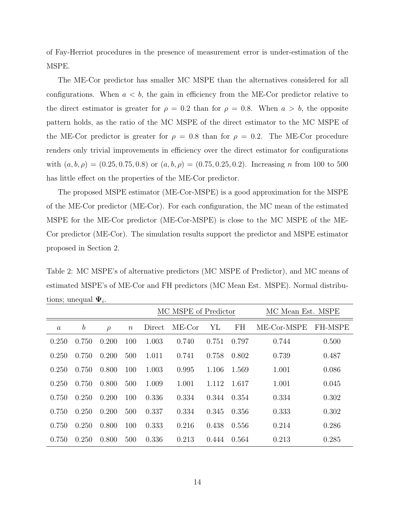of Fay-Herriot procedures in the presence of measurement error is under-estimation of the MSPE.

The ME-Cor predictor has smaller MC MSPE than the alternatives considered for all configurations. When  $a < b$ , the gain in efficiency from the ME-Cor predictor relative to the direct estimator is greater for  $\rho = 0.2$  than for  $\rho = 0.8$ . When  $a > b$ , the opposite pattern holds, as the ratio of the MC MSPE of the direct estimator to the MC MSPE of the ME-Cor predictor is greater for  $\rho = 0.8$  than for  $\rho = 0.2$ . The ME-Cor procedure renders only trivial improvements in efficiency over the direct estimator for configurations with  $(a, b, \rho) = (0.25, 0.75, 0.8)$  or  $(a, b, \rho) = (0.75, 0.25, 0.2)$ . Increasing n from 100 to 500 has little effect on the properties of the ME-Cor predictor.

The proposed MSPE estimator (ME-Cor-MSPE) is a good approximation for the MSPE of the ME-Cor predictor (ME-Cor). For each configuration, the MC mean of the estimated MSPE for the ME-Cor predictor (ME-Cor-MSPE) is close to the MC MSPE of the ME-Cor predictor (ME-Cor). The simulation results support the predictor and MSPE estimator proposed in Section 2.

Table 2: MC MSPE's of alternative predictors (MC MSPE of Predictor), and MC means of estimated MSPE's of ME-Cor and FH predictors (MC Mean Est. MSPE). Normal distributions; unequal  $\Psi_i$ .

|                  |                  |        |                  | MC MSPE of Predictor |          |       |       | MC Mean Est. MSPE |                |
|------------------|------------------|--------|------------------|----------------------|----------|-------|-------|-------------------|----------------|
| $\boldsymbol{a}$ | $\boldsymbol{b}$ | $\rho$ | $\boldsymbol{n}$ | Direct               | $ME-Cor$ | YL    | FH    | ME-Cor-MSPE       | <b>FH-MSPE</b> |
| 0.250            | 0.750            | 0.200  | 100              | 1.003                | 0.740    | 0.751 | 0.797 | 0.744             | 0.500          |
| 0.250            | 0.750            | 0.200  | 500              | 1.011                | 0.741    | 0.758 | 0.802 | 0.739             | 0.487          |
| 0.250            | 0.750            | 0.800  | 100              | 1.003                | 0.995    | 1.106 | 1.569 | 1.001             | 0.086          |
| 0.250            | 0.750            | 0.800  | 500              | 1.009                | 1.001    | 1.112 | 1.617 | 1.001             | 0.045          |
| 0.750            | 0.250            | 0.200  | 100              | 0.336                | 0.334    | 0.344 | 0.354 | 0.334             | 0.302          |
| 0.750            | 0.250            | 0.200  | 500              | 0.337                | 0.334    | 0.345 | 0.356 | 0.333             | 0.302          |
| 0.750            | 0.250            | 0.800  | 100              | 0.333                | 0.216    | 0.438 | 0.556 | 0.214             | 0.286          |
| 0.750            | 0.250            | 0.800  | 500              | 0.336                | 0.213    | 0.444 | 0.564 | 0.213             | 0.285          |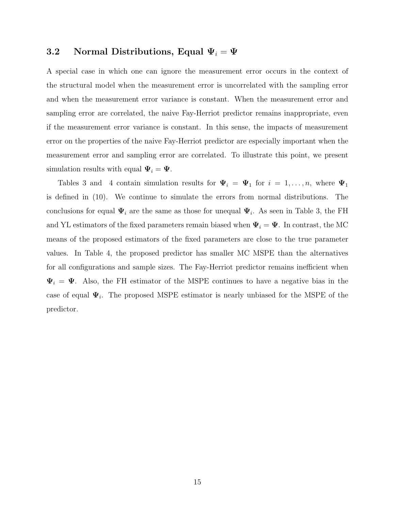#### 3.2 Normal Distributions, Equal  $\Psi_i = \Psi$

A special case in which one can ignore the measurement error occurs in the context of the structural model when the measurement error is uncorrelated with the sampling error and when the measurement error variance is constant. When the measurement error and sampling error are correlated, the naive Fay-Herriot predictor remains inappropriate, even if the measurement error variance is constant. In this sense, the impacts of measurement error on the properties of the naive Fay-Herriot predictor are especially important when the measurement error and sampling error are correlated. To illustrate this point, we present simulation results with equal  $\Psi_i = \Psi$ .

Tables 3 and 4 contain simulation results for  $\Psi_i = \Psi_1$  for  $i = 1, \ldots, n$ , where  $\Psi_1$ is defined in (10). We continue to simulate the errors from normal distributions. The conclusions for equal  $\Psi_i$  are the same as those for unequal  $\Psi_i$ . As seen in Table 3, the FH and YL estimators of the fixed parameters remain biased when  $\Psi_i = \Psi$ . In contrast, the MC means of the proposed estimators of the fixed parameters are close to the true parameter values. In Table 4, the proposed predictor has smaller MC MSPE than the alternatives for all configurations and sample sizes. The Fay-Herriot predictor remains inefficient when  $\Psi_i = \Psi$ . Also, the FH estimator of the MSPE continues to have a negative bias in the case of equal  $\Psi_i$ . The proposed MSPE estimator is nearly unbiased for the MSPE of the predictor.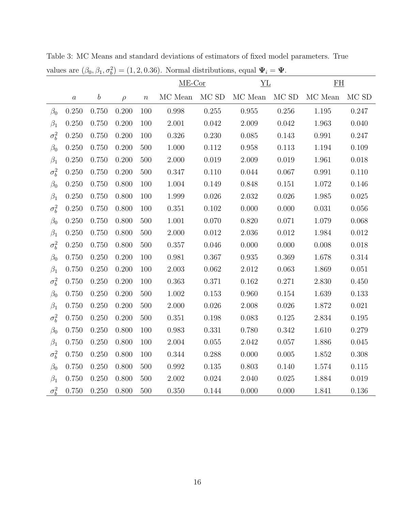|              |                  |                  |           |                  | $ME-Cor$  |           | YL          |           | F <sub>H</sub> |       |
|--------------|------------------|------------------|-----------|------------------|-----------|-----------|-------------|-----------|----------------|-------|
|              | $\boldsymbol{a}$ | $\boldsymbol{b}$ | $\rho$    | $\boldsymbol{n}$ | MC Mean   | $MCSD$    | MC Mean     | $MCSD$    | MC Mean        | MC SD |
| $\beta_0$    | 0.250            | 0.750            | 0.200     | 100              | 0.998     | 0.255     | 0.955       | $0.256\,$ | $1.195\,$      | 0.247 |
| $\beta_1$    | 0.250            | 0.750            | 0.200     | 100              | 2.001     | 0.042     | 2.009       | 0.042     | 1.963          | 0.040 |
| $\sigma_b^2$ | 0.250            | 0.750            | 0.200     | 100              | 0.326     | 0.230     | $0.085\,$   | 0.143     | 0.991          | 0.247 |
| $\beta_0$    | 0.250            | 0.750            | 0.200     | 500              | 1.000     | 0.112     | $0.958\,$   | 0.113     | 1.194          | 0.109 |
| $\beta_1$    | 0.250            | 0.750            | 0.200     | 500              | $2.000\,$ | 0.019     | 2.009       | $0.019\,$ | 1.961          | 0.018 |
| $\sigma_b^2$ | 0.250            | 0.750            | 0.200     | 500              | 0.347     | 0.110     | 0.044       | 0.067     | 0.991          | 0.110 |
| $\beta_0$    | 0.250            | 0.750            | 0.800     | 100              | 1.004     | 0.149     | 0.848       | 0.151     | 1.072          | 0.146 |
| $\beta_1$    | 0.250            | 0.750            | 0.800     | 100              | 1.999     | 0.026     | 2.032       | $0.026\,$ | $1.985\,$      | 0.025 |
| $\sigma_b^2$ | 0.250            | 0.750            | 0.800     | 100              | 0.351     | $0.102\,$ | 0.000       | 0.000     | 0.031          | 0.056 |
| $\beta_0$    | 0.250            | 0.750            | $0.800\,$ | 500              | 1.001     | 0.070     | 0.820       | 0.071     | 1.079          | 0.068 |
| $\beta_1$    | 0.250            | 0.750            | 0.800     | 500              | 2.000     | 0.012     | 2.036       | 0.012     | 1.984          | 0.012 |
| $\sigma_b^2$ | 0.250            | 0.750            | 0.800     | 500              | $0.357\,$ | $0.046\,$ | 0.000       | $0.000\,$ | 0.008          | 0.018 |
| $\beta_0$    | 0.750            | 0.250            | 0.200     | 100              | 0.981     | 0.367     | $\!0.935\!$ | $0.369\,$ | 1.678          | 0.314 |
| $\beta_1$    | 0.750            | 0.250            | 0.200     | 100              | $2.003\,$ | $0.062\,$ | $2.012\,$   | $0.063\,$ | 1.869          | 0.051 |
| $\sigma_b^2$ | 0.750            | 0.250            | 0.200     | 100              | 0.363     | $0.371\,$ | $0.162\,$   | 0.271     | 2.830          | 0.450 |
| $\beta_0$    | 0.750            | 0.250            | 0.200     | 500              | 1.002     | $0.153\,$ | 0.960       | $0.154\,$ | 1.639          | 0.133 |
| $\beta_1$    | 0.750            | 0.250            | 0.200     | 500              | $2.000\,$ | 0.026     | $2.008\,$   | $0.026\,$ | $1.872\,$      | 0.021 |
| $\sigma_b^2$ | 0.750            | 0.250            | 0.200     | 500              | 0.351     | 0.198     | 0.083       | 0.125     | 2.834          | 0.195 |
| $\beta_0$    | 0.750            | 0.250            | 0.800     | 100              | 0.983     | 0.331     | 0.780       | $0.342\,$ | 1.610          | 0.279 |
| $\beta_1$    | 0.750            | 0.250            | 0.800     | 100              | $2.004\,$ | 0.055     | $2.042\,$   | $0.057\,$ | 1.886          | 0.045 |
| $\sigma_b^2$ | 0.750            | 0.250            | 0.800     | 100              | 0.344     | 0.288     | 0.000       | $0.005\,$ | 1.852          | 0.308 |
| $\beta_0$    | 0.750            | 0.250            | 0.800     | 500              | $0.992\,$ | $0.135\,$ | $0.803\,$   | 0.140     | $1.574\,$      | 0.115 |
| $\beta_1$    | 0.750            | 0.250            | 0.800     | 500              | $2.002\,$ | $0.024\,$ | 2.040       | 0.025     | 1.884          | 0.019 |
| $\sigma_b^2$ | 0.750            | 0.250            | 0.800     | 500              | 0.350     | 0.144     | 0.000       | 0.000     | 1.841          | 0.136 |

Table 3: MC Means and standard deviations of estimators of fixed model parameters. True values are  $(\beta_0, \beta_1, \sigma_b^2) = (1, 2, 0.36)$ . Normal distributions, equal  $\Psi_i = \Psi$ .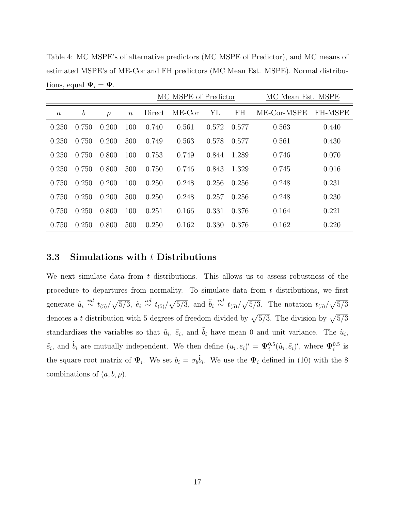Table 4: MC MSPE's of alternative predictors (MC MSPE of Predictor), and MC means of estimated MSPE's of ME-Cor and FH predictors (MC Mean Est. MSPE). Normal distributions, equal  $\Psi_i = \Psi$ .

|                |                  |        |                  |        | MC MSPE of Predictor |       | MC Mean Est. MSPE |             |         |
|----------------|------------------|--------|------------------|--------|----------------------|-------|-------------------|-------------|---------|
| $\mathfrak{a}$ | $\boldsymbol{b}$ | $\rho$ | $\boldsymbol{n}$ | Direct | $ME-Cor$             | YL    | FH                | ME-Cor-MSPE | FH-MSPE |
| 0.250          | 0.750            | 0.200  | 100              | 0.740  | 0.561                | 0.572 | 0.577             | 0.563       | 0.440   |
| 0.250          | 0.750            | 0.200  | 500              | 0.749  | 0.563                | 0.578 | 0.577             | 0.561       | 0.430   |
| 0.250          | 0.750            | 0.800  | 100              | 0.753  | 0.749                | 0.844 | 1.289             | 0.746       | 0.070   |
| 0.250          | 0.750            | 0.800  | 500              | 0.750  | 0.746                | 0.843 | 1.329             | 0.745       | 0.016   |
| 0.750          | 0.250            | 0.200  | 100              | 0.250  | 0.248                | 0.256 | 0.256             | 0.248       | 0.231   |
| 0.750          | 0.250            | 0.200  | 500              | 0.250  | 0.248                | 0.257 | 0.256             | 0.248       | 0.230   |
| 0.750          | 0.250            | 0.800  | 100              | 0.251  | 0.166                | 0.331 | 0.376             | 0.164       | 0.221   |
| 0.750          | 0.250            | 0.800  | 500              | 0.250  | 0.162                | 0.330 | 0.376             | 0.162       | 0.220   |

#### 3.3 Simulations with t Distributions

We next simulate data from  $t$  distributions. This allows us to assess robustness of the procedure to departures from normality. To simulate data from  $t$  distributions, we first generate  $\tilde{u}_i \stackrel{iid}{\sim} t_{(5)}/\sqrt{5/3}$ ,  $\tilde{e}_i \stackrel{iid}{\sim} t_{(5)}/\sqrt{5/3}$ , and  $\tilde{b}_i \stackrel{iid}{\sim} t_{(5)}/\sqrt{5/3}$ . The notation  $t_{(5)}/\sqrt{5/3}$ denotes a t distribution with 5 degrees of freedom divided by  $\sqrt{5/3}$ . The division by  $\sqrt{5/3}$ standardizes the variables so that  $\tilde{u}_i$ ,  $\tilde{e}_i$ , and  $\tilde{b}_i$  have mean 0 and unit variance. The  $\tilde{u}_i$ ,  $\tilde{e}_i$ , and  $\tilde{b}_i$  are mutually independent. We then define  $(u_i, e_i)' = \Psi_i^{0.5}(\tilde{u}_i, \tilde{e}_i)'$ , where  $\Psi_i^{0.5}$  is the square root matrix of  $\Psi_i$ . We set  $b_i = \sigma_b \tilde{b}_i$ . We use the  $\Psi_i$  defined in (10) with the 8 combinations of  $(a, b, \rho)$ .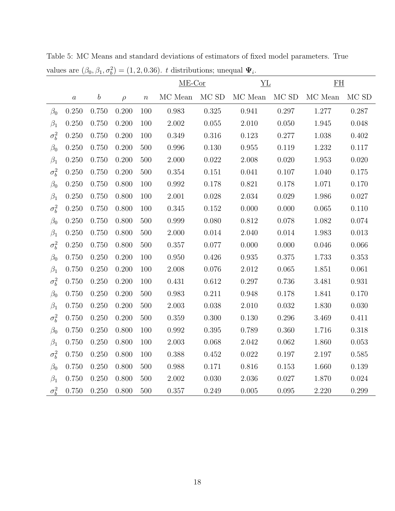|              |                  |                  |        |                  | $ME-Cor$      |                   | YL            |           | EH            |           |
|--------------|------------------|------------------|--------|------------------|---------------|-------------------|---------------|-----------|---------------|-----------|
|              | $\boldsymbol{a}$ | $\boldsymbol{b}$ | $\rho$ | $\boldsymbol{n}$ | $\rm MC$ Mean | $\rm MC$ $\rm SD$ | $\rm MC$ Mean | MC SD     | $\rm MC$ Mean | MC SD     |
| $\beta_0$    | 0.250            | 0.750            | 0.200  | 100              | 0.983         | 0.325             | $\,0.941\,$   | 0.297     | 1.277         | 0.287     |
| $\beta_1$    | 0.250            | 0.750            | 0.200  | 100              | 2.002         | 0.055             | 2.010         | 0.050     | $1.945\,$     | 0.048     |
| $\sigma_b^2$ | 0.250            | 0.750            | 0.200  | 100              | $0.349\,$     | 0.316             | $0.123\,$     | 0.277     | $1.038\,$     | 0.402     |
| $\beta_0$    | 0.250            | 0.750            | 0.200  | 500              | 0.996         | 0.130             | 0.955         | 0.119     | $1.232\,$     | 0.117     |
| $\beta_1$    | 0.250            | 0.750            | 0.200  | $500\,$          | $2.000\,$     | $0.022\,$         | $2.008\,$     | $0.020\,$ | $1.953\,$     | 0.020     |
| $\sigma_b^2$ | 0.250            | 0.750            | 0.200  | 500              | $0.354\,$     | $0.151\,$         | 0.041         | $0.107\,$ | 1.040         | 0.175     |
| $\beta_0$    | 0.250            | 0.750            | 0.800  | 100              | 0.992         | 0.178             | $0.821\,$     | 0.178     | 1.071         | 0.170     |
| $\beta_1$    | 0.250            | 0.750            | 0.800  | 100              | $2.001\,$     | $0.028\,$         | $2.034\,$     | $0.029\,$ | $1.986\,$     | $0.027\,$ |
| $\sigma_b^2$ | 0.250            | 0.750            | 0.800  | 100              | 0.345         | $0.152\,$         | $0.000\,$     | 0.000     | 0.065         | 0.110     |
| $\beta_0$    | 0.250            | 0.750            | 0.800  | 500              | $0.999\,$     | 0.080             | $0.812\,$     | $0.078\,$ | $1.082\,$     | 0.074     |
| $\beta_1$    | 0.250            | 0.750            | 0.800  | 500              | 2.000         | 0.014             | 2.040         | 0.014     | 1.983         | 0.013     |
| $\sigma_b^2$ | 0.250            | 0.750            | 0.800  | 500              | $0.357\,$     | 0.077             | 0.000         | 0.000     | 0.046         | 0.066     |
| $\beta_0$    | 0.750            | 0.250            | 0.200  | 100              | 0.950         | 0.426             | $\,0.935\,$   | 0.375     | 1.733         | 0.353     |
| $\beta_1$    | 0.750            | 0.250            | 0.200  | 100              | $2.008\,$     | 0.076             | $2.012\,$     | $0.065\,$ | $1.851\,$     | 0.061     |
| $\sigma_b^2$ | 0.750            | 0.250            | 0.200  | 100              | $0.431\,$     | $0.612\,$         | $0.297\,$     | $0.736\,$ | $3.481\,$     | 0.931     |
| $\beta_0$    | 0.750            | 0.250            | 0.200  | 500              | 0.983         | $0.211\,$         | $0.948\,$     | $0.178\,$ | $1.841\,$     | 0.170     |
| $\beta_1$    | 0.750            | 0.250            | 0.200  | 500              | $2.003\,$     | $0.038\,$         | $2.010\,$     | $0.032\,$ | $1.830\,$     | 0.030     |
| $\sigma_b^2$ | 0.750            | 0.250            | 0.200  | 500              | 0.359         | 0.300             | 0.130         | 0.296     | 3.469         | 0.411     |
| $\beta_0$    | 0.750            | 0.250            | 0.800  | 100              | 0.992         | $0.395\,$         | 0.789         | 0.360     | 1.716         | 0.318     |
| $\beta_1$    | 0.750            | 0.250            | 0.800  | 100              | $2.003\,$     | 0.068             | 2.042         | $0.062\,$ | 1.860         | $0.053\,$ |
| $\sigma_b^2$ | 0.750            | 0.250            | 0.800  | 100              | 0.388         | $0.452\,$         | 0.022         | $0.197\,$ | $2.197\,$     | $0.585\,$ |
| $\beta_0$    | 0.750            | 0.250            | 0.800  | $500\,$          | $0.988\,$     | 0.171             | $0.816\,$     | $0.153\,$ | 1.660         | $0.139\,$ |
| $\beta_1$    | 0.750            | 0.250            | 0.800  | 500              | $2.002\,$     | 0.030             | $2.036\,$     | $0.027\,$ | 1.870         | 0.024     |
| $\sigma_b^2$ | 0.750            | 0.250            | 0.800  | 500              | $0.357\,$     | $0.249\,$         | 0.005         | 0.095     | 2.220         | 0.299     |

Table 5: MC Means and standard deviations of estimators of fixed model parameters. True values are  $(\beta_0, \beta_1, \sigma_b^2) = (1, 2, 0.36)$ . t distributions; unequal  $\Psi_i$ .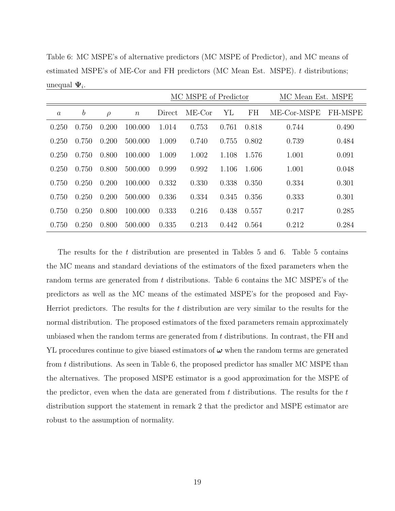Table 6: MC MSPE's of alternative predictors (MC MSPE of Predictor), and MC means of estimated MSPE's of ME-Cor and FH predictors (MC Mean Est. MSPE). t distributions; unequal  $\Psi_i$ .

|          |                  |        |                  |        | MC MSPE of Predictor |       |       | MC Mean Est. MSPE |                |
|----------|------------------|--------|------------------|--------|----------------------|-------|-------|-------------------|----------------|
| $\alpha$ | $\boldsymbol{b}$ | $\rho$ | $\boldsymbol{n}$ | Direct | $ME-Cor$             | YL    | FH    | ME-Cor-MSPE       | <b>FH-MSPE</b> |
| 0.250    | 0.750            | 0.200  | 100.000          | 1.014  | 0.753                | 0.761 | 0.818 | 0.744             | 0.490          |
| 0.250    | 0.750            | 0.200  | 500.000          | 1.009  | 0.740                | 0.755 | 0.802 | 0.739             | 0.484          |
| 0.250    | 0.750            | 0.800  | 100.000          | 1.009  | 1.002                | 1.108 | 1.576 | 1.001             | 0.091          |
| 0.250    | 0.750            | 0.800  | 500.000          | 0.999  | 0.992                | 1.106 | 1.606 | 1.001             | 0.048          |
| 0.750    | 0.250            | 0.200  | 100.000          | 0.332  | 0.330                | 0.338 | 0.350 | 0.334             | 0.301          |
| 0.750    | 0.250            | 0.200  | 500.000          | 0.336  | 0.334                | 0.345 | 0.356 | 0.333             | 0.301          |
| 0.750    | 0.250            | 0.800  | 100.000          | 0.333  | 0.216                | 0.438 | 0.557 | 0.217             | 0.285          |
| 0.750    | 0.250            | 0.800  | 500.000          | 0.335  | 0.213                | 0.442 | 0.564 | 0.212             | 0.284          |

The results for the t distribution are presented in Tables  $5$  and  $6$ . Table  $5$  contains the MC means and standard deviations of the estimators of the fixed parameters when the random terms are generated from t distributions. Table 6 contains the MC MSPE's of the predictors as well as the MC means of the estimated MSPE's for the proposed and Fay-Herriot predictors. The results for the  $t$  distribution are very similar to the results for the normal distribution. The proposed estimators of the fixed parameters remain approximately unbiased when the random terms are generated from t distributions. In contrast, the FH and YL procedures continue to give biased estimators of  $\omega$  when the random terms are generated from t distributions. As seen in Table 6, the proposed predictor has smaller MC MSPE than the alternatives. The proposed MSPE estimator is a good approximation for the MSPE of the predictor, even when the data are generated from  $t$  distributions. The results for the  $t$ distribution support the statement in remark 2 that the predictor and MSPE estimator are robust to the assumption of normality.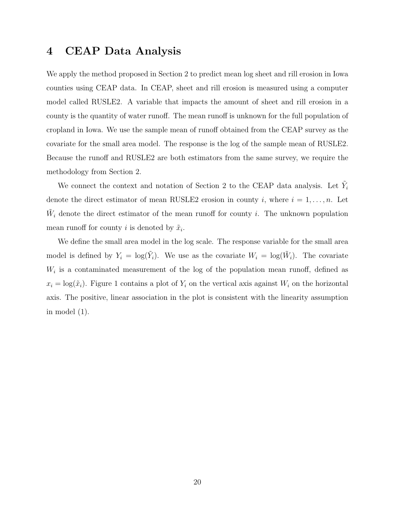## 4 CEAP Data Analysis

We apply the method proposed in Section 2 to predict mean log sheet and rill erosion in Iowa counties using CEAP data. In CEAP, sheet and rill erosion is measured using a computer model called RUSLE2. A variable that impacts the amount of sheet and rill erosion in a county is the quantity of water runoff. The mean runoff is unknown for the full population of cropland in Iowa. We use the sample mean of runoff obtained from the CEAP survey as the covariate for the small area model. The response is the log of the sample mean of RUSLE2. Because the runoff and RUSLE2 are both estimators from the same survey, we require the methodology from Section 2.

We connect the context and notation of Section 2 to the CEAP data analysis. Let  $\tilde{Y}_i$ denote the direct estimator of mean RUSLE2 erosion in county i, where  $i = 1, \ldots, n$ . Let  $\tilde{W}_i$  denote the direct estimator of the mean runoff for county *i*. The unknown population mean runoff for county *i* is denoted by  $\tilde{x}_i$ .

We define the small area model in the log scale. The response variable for the small area model is defined by  $Y_i = \log(\tilde{Y}_i)$ . We use as the covariate  $W_i = \log(\tilde{W}_i)$ . The covariate  $W_i$  is a contaminated measurement of the log of the population mean runoff, defined as  $x_i = \log(\tilde{x}_i)$ . Figure 1 contains a plot of  $Y_i$  on the vertical axis against  $W_i$  on the horizontal axis. The positive, linear association in the plot is consistent with the linearity assumption in model (1).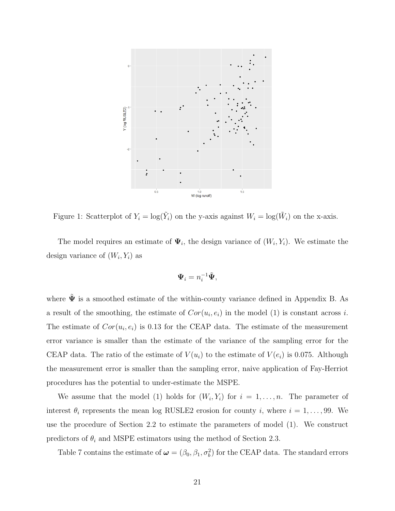

Figure 1: Scatterplot of  $Y_i = \log(\tilde{Y}_i)$  on the y-axis against  $W_i = \log(\tilde{W}_i)$  on the x-axis.

The model requires an estimate of  $\Psi_i$ , the design variance of  $(W_i, Y_i)$ . We estimate the design variance of  $(W_i, Y_i)$  as

$$
\mathbf{\Psi}_i = n_i^{-1} \tilde{\mathbf{\Psi}},
$$

where  $\tilde{\Psi}$  is a smoothed estimate of the within-county variance defined in Appendix B. As a result of the smoothing, the estimate of  $Cor(u_i, e_i)$  in the model (1) is constant across i. The estimate of  $Cor(u_i, e_i)$  is 0.13 for the CEAP data. The estimate of the measurement error variance is smaller than the estimate of the variance of the sampling error for the CEAP data. The ratio of the estimate of  $V(u_i)$  to the estimate of  $V(e_i)$  is 0.075. Although the measurement error is smaller than the sampling error, naive application of Fay-Herriot procedures has the potential to under-estimate the MSPE.

We assume that the model (1) holds for  $(W_i, Y_i)$  for  $i = 1, \ldots, n$ . The parameter of interest  $\theta_i$  represents the mean log RUSLE2 erosion for county i, where  $i = 1, \ldots, 99$ . We use the procedure of Section 2.2 to estimate the parameters of model (1). We construct predictors of  $\theta_i$  and MSPE estimators using the method of Section 2.3.

Table 7 contains the estimate of  $\boldsymbol{\omega} = (\beta_0, \beta_1, \sigma_b^2)$  for the CEAP data. The standard errors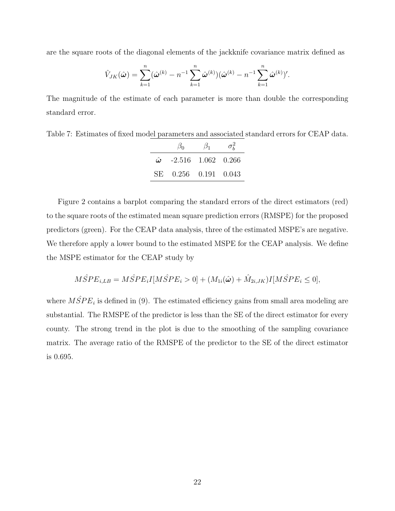are the square roots of the diagonal elements of the jackknife covariance matrix defined as

$$
\hat{V}_{JK}(\hat{\boldsymbol{\omega}}) = \sum_{k=1}^{n} (\hat{\boldsymbol{\omega}}^{(k)} - n^{-1} \sum_{k=1}^{n} \hat{\boldsymbol{\omega}}^{(k)}) (\hat{\boldsymbol{\omega}}^{(k)} - n^{-1} \sum_{k=1}^{n} \hat{\boldsymbol{\omega}}^{(k)})'.
$$

The magnitude of the estimate of each parameter is more than double the corresponding standard error.

Table 7: Estimates of fixed model parameters and associated standard errors for CEAP data.

| $\beta_0$                         | $\beta_1$ | $\sigma_{\scriptscriptstyle h}^2$ |
|-----------------------------------|-----------|-----------------------------------|
| $\hat{\omega}$ -2.516 1.062 0.266 |           |                                   |
| SE 0.256 0.191 0.043              |           |                                   |

Figure 2 contains a barplot comparing the standard errors of the direct estimators (red) to the square roots of the estimated mean square prediction errors (RMSPE) for the proposed predictors (green). For the CEAP data analysis, three of the estimated MSPE's are negative. We therefore apply a lower bound to the estimated MSPE for the CEAP analysis. We define the MSPE estimator for the CEAP study by

$$
M\hat{S}PE_{i,LB} = M\hat{S}PE_iI[M\hat{S}PE_i > 0] + (M_{1i}(\hat{\omega}) + \hat{M}_{2i,JK})I[M\hat{S}PE_i \le 0],
$$

where  $M\hat{S}PE_i$  is defined in (9). The estimated efficiency gains from small area modeling are substantial. The RMSPE of the predictor is less than the SE of the direct estimator for every county. The strong trend in the plot is due to the smoothing of the sampling covariance matrix. The average ratio of the RMSPE of the predictor to the SE of the direct estimator is 0.695.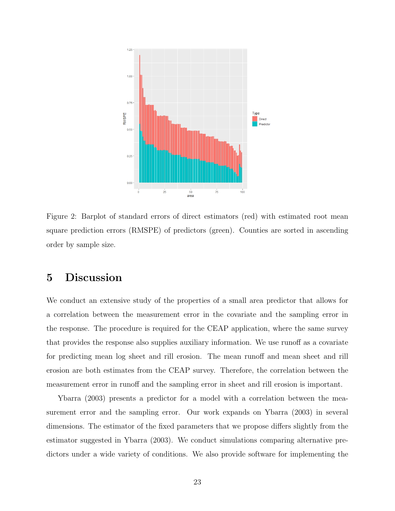

Figure 2: Barplot of standard errors of direct estimators (red) with estimated root mean square prediction errors (RMSPE) of predictors (green). Counties are sorted in ascending order by sample size.

# 5 Discussion

We conduct an extensive study of the properties of a small area predictor that allows for a correlation between the measurement error in the covariate and the sampling error in the response. The procedure is required for the CEAP application, where the same survey that provides the response also supplies auxiliary information. We use runoff as a covariate for predicting mean log sheet and rill erosion. The mean runoff and mean sheet and rill erosion are both estimates from the CEAP survey. Therefore, the correlation between the measurement error in runoff and the sampling error in sheet and rill erosion is important.

Ybarra (2003) presents a predictor for a model with a correlation between the measurement error and the sampling error. Our work expands on Ybarra (2003) in several dimensions. The estimator of the fixed parameters that we propose differs slightly from the estimator suggested in Ybarra (2003). We conduct simulations comparing alternative predictors under a wide variety of conditions. We also provide software for implementing the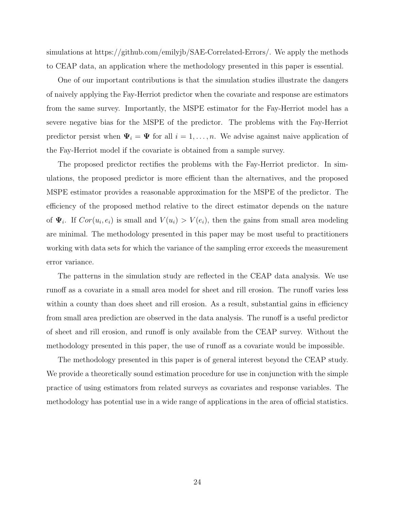simulations at https://github.com/emilyjb/SAE-Correlated-Errors/. We apply the methods to CEAP data, an application where the methodology presented in this paper is essential.

One of our important contributions is that the simulation studies illustrate the dangers of naively applying the Fay-Herriot predictor when the covariate and response are estimators from the same survey. Importantly, the MSPE estimator for the Fay-Herriot model has a severe negative bias for the MSPE of the predictor. The problems with the Fay-Herriot predictor persist when  $\Psi_i = \Psi$  for all  $i = 1, ..., n$ . We advise against naive application of the Fay-Herriot model if the covariate is obtained from a sample survey.

The proposed predictor rectifies the problems with the Fay-Herriot predictor. In simulations, the proposed predictor is more efficient than the alternatives, and the proposed MSPE estimator provides a reasonable approximation for the MSPE of the predictor. The efficiency of the proposed method relative to the direct estimator depends on the nature of  $\Psi_i$ . If  $Cor(u_i, e_i)$  is small and  $V(u_i) > V(e_i)$ , then the gains from small area modeling are minimal. The methodology presented in this paper may be most useful to practitioners working with data sets for which the variance of the sampling error exceeds the measurement error variance.

The patterns in the simulation study are reflected in the CEAP data analysis. We use runoff as a covariate in a small area model for sheet and rill erosion. The runoff varies less within a county than does sheet and rill erosion. As a result, substantial gains in efficiency from small area prediction are observed in the data analysis. The runoff is a useful predictor of sheet and rill erosion, and runoff is only available from the CEAP survey. Without the methodology presented in this paper, the use of runoff as a covariate would be impossible.

The methodology presented in this paper is of general interest beyond the CEAP study. We provide a theoretically sound estimation procedure for use in conjunction with the simple practice of using estimators from related surveys as covariates and response variables. The methodology has potential use in a wide range of applications in the area of official statistics.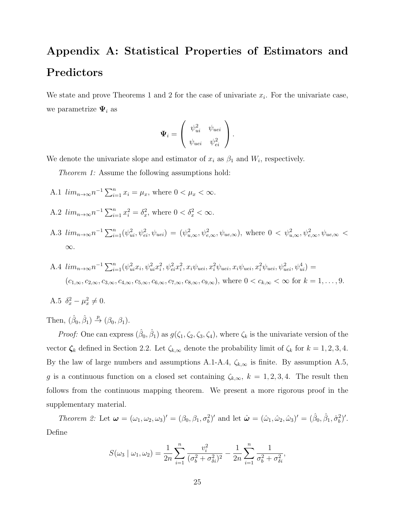# Appendix A: Statistical Properties of Estimators and Predictors

We state and prove Theorems 1 and 2 for the case of univariate  $x_i$ . For the univariate case, we parametrize  $\Psi_i$  as

$$
\mathbf{\Psi}_i = \left( \begin{array}{cc} \psi_{ui}^2 & \psi_{uei} \\ \psi_{uei} & \psi_{ei}^2 \end{array} \right).
$$

We denote the univariate slope and estimator of  $x_i$  as  $\beta_1$  and  $W_i$ , respectively.

Theorem 1: Assume the following assumptions hold:

- A.1  $\lim_{n \to \infty} n^{-1} \sum_{i=1}^{n} x_i = \mu_x$ , where  $0 < \mu_x < \infty$ .
- A.2  $\lim_{n \to \infty} n^{-1} \sum_{i=1}^{n} x_i^2 = \delta_x^2$ , where  $0 < \delta_x^2 < \infty$ .
- A.3  $\lim_{n\to\infty} n^{-1} \sum_{i=1}^n (\psi_{ui}^2, \psi_{ei}^2, \psi_{uei}) = (\psi_{u,\infty}^2, \psi_{e,\infty}^2, \psi_{ue,\infty})$ , where  $0 < \psi_{u,\infty}^2, \psi_{e,\infty}^2, \psi_{ue,\infty} <$ ∞.
- A.4  $\lim_{n\to\infty} n^{-1} \sum_{i=1}^{n} (\psi_{ui}^2 x_i, \psi_{ui}^2 x_i^2, \psi_{ei}^2 x_i^2, x_i \psi_{uei}, x_i^2 \psi_{uei}, x_i \psi_{uei}, x_i^2 \psi_{uei}, \psi_{uei}^2, \psi_{uei}^4)$  $(c_{1,\infty}, c_{2,\infty}, c_{3,\infty}, c_{4,\infty}, c_{5,\infty}, c_{6,\infty}, c_{7,\infty}, c_{8,\infty}, c_{9,\infty})$ , where  $0 < c_{k,\infty} < \infty$  for  $k = 1, \ldots, 9$ .

A.5 
$$
\delta_x^2 - \mu_x^2 \neq 0
$$
.

Then,  $(\hat{\beta}_0, \hat{\beta}_1) \stackrel{p}{\rightarrow} (\beta_0, \beta_1)$ .

*Proof:* One can express  $(\hat{\beta}_0, \hat{\beta}_1)$  as  $g(\zeta_1, \zeta_2, \zeta_3, \zeta_4)$ , where  $\zeta_k$  is the univariate version of the vector  $\zeta_k$  defined in Section 2.2. Let  $\zeta_{k,\infty}$  denote the probability limit of  $\zeta_k$  for  $k = 1, 2, 3, 4$ . By the law of large numbers and assumptions A.1-A.4,  $\zeta_{k,\infty}$  is finite. By assumption A.5, g is a continuous function on a closed set containing  $\zeta_{k,\infty}$ ,  $k = 1, 2, 3, 4$ . The result then follows from the continuous mapping theorem. We present a more rigorous proof in the supplementary material.

Theorem 2: Let  $\boldsymbol{\omega} = (\omega_1, \omega_2, \omega_3)' = (\beta_0, \beta_1, \sigma_b^2)'$  and let  $\hat{\boldsymbol{\omega}} = (\hat{\omega}_1, \hat{\omega}_2, \hat{\omega}_3)' = (\hat{\beta}_0, \hat{\beta}_1, \hat{\sigma}_b^2)'$ . Define

$$
S(\omega_3 | \omega_1, \omega_2) = \frac{1}{2n} \sum_{i=1}^n \frac{v_i^2}{(\sigma_b^2 + \sigma_{\delta i}^2)^2} - \frac{1}{2n} \sum_{i=1}^n \frac{1}{\sigma_b^2 + \sigma_{\delta i}^2},
$$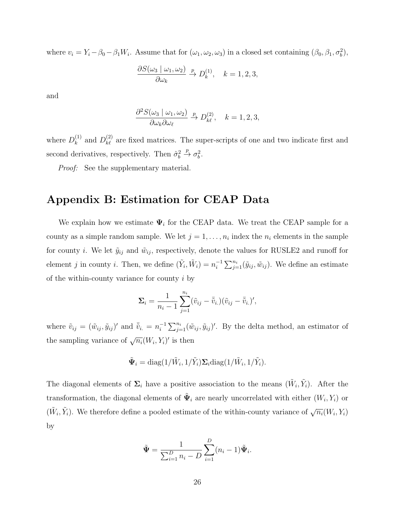where  $v_i = Y_i - \beta_0 - \beta_1 W_i$ . Assume that for  $(\omega_1, \omega_2, \omega_3)$  in a closed set containing  $(\beta_0, \beta_1, \sigma_b^2)$ ,

$$
\frac{\partial S(\omega_3 \mid \omega_1, \omega_2)}{\partial \omega_k} \stackrel{p}{\to} D_k^{(1)}, \quad k = 1, 2, 3,
$$

and

$$
\frac{\partial^2 S(\omega_3 \mid \omega_1, \omega_2)}{\partial \omega_k \partial \omega_\ell} \xrightarrow{p} D_{k\ell}^{(2)}, \quad k = 1, 2, 3,
$$

where  $D_k^{(1)}$  $k_k^{(1)}$  and  $D_{k\ell}^{(2)}$  are fixed matrices. The super-scripts of one and two indicate first and second derivatives, respectively. Then  $\hat{\sigma}_b^2 \stackrel{p}{\rightarrow} \sigma_b^2$ .

Proof: See the supplementary material.

### Appendix B: Estimation for CEAP Data

We explain how we estimate  $\Psi_i$  for the CEAP data. We treat the CEAP sample for a county as a simple random sample. We let  $j = 1, \ldots, n_i$  index the  $n_i$  elements in the sample for county *i*. We let  $\tilde{y}_{ij}$  and  $\tilde{w}_{ij}$ , respectively, denote the values for RUSLE2 and runoff for element j in county *i*. Then, we define  $(\tilde{Y}_i, \tilde{W}_i) = n_i^{-1}$  $i^{-1} \sum_{j=1}^{n_i} (\tilde{y}_{ij}, \tilde{w}_{ij})$ . We define an estimate of the within-county variance for county  $i$  by

$$
\Sigma_i = \frac{1}{n_i - 1} \sum_{j=1}^{n_i} (\tilde{v}_{ij} - \overline{\tilde{v}}_{i.})(\tilde{v}_{ij} - \overline{\tilde{v}}_{i.})',
$$

where  $\tilde{v}_{ij} = (\tilde{w}_{ij}, \tilde{y}_{ij})'$  and  $\bar{\tilde{v}}_{i.} = n_i^{-1}$  $i^{-1} \sum_{j=1}^{n_i} (\tilde{w}_{ij}, \tilde{y}_{ij})'$ . By the delta method, an estimator of the sampling variance of  $\sqrt{n_i}(W_i, Y_i)'$  is then

$$
\tilde{\mathbf{\Psi}}_i = \text{diag}(1/\tilde{W}_i, 1/\tilde{Y}_i) \mathbf{\Sigma}_i \text{diag}(1/\tilde{W}_i, 1/\tilde{Y}_i).
$$

The diagonal elements of  $\Sigma_i$  have a positive association to the means  $(\tilde{W}_i, \tilde{Y}_i)$ . After the transformation, the diagonal elements of  $\tilde{\Psi}_i$  are nearly uncorrelated with either  $(W_i, Y_i)$  or  $(\tilde{W}_i, \tilde{Y}_i)$ . We therefore define a pooled estimate of the within-county variance of  $\sqrt{n_i}(W_i, Y_i)$ by

$$
\tilde{\Psi} = \frac{1}{\sum_{i=1}^{D} n_i - D} \sum_{i=1}^{D} (n_i - 1) \tilde{\Psi}_i.
$$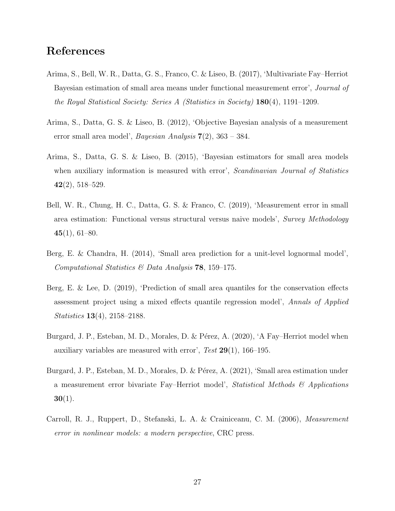# References

- Arima, S., Bell, W. R., Datta, G. S., Franco, C. & Liseo, B. (2017), 'Multivariate Fay–Herriot Bayesian estimation of small area means under functional measurement error', *Journal of* the Royal Statistical Society: Series A (Statistics in Society) 180(4), 1191–1209.
- Arima, S., Datta, G. S. & Liseo, B. (2012), 'Objective Bayesian analysis of a measurement error small area model', *Bayesian Analysis*  $7(2)$ , 363 – 384.
- Arima, S., Datta, G. S. & Liseo, B. (2015), 'Bayesian estimators for small area models when auxiliary information is measured with error', *Scandinavian Journal of Statistics*  $42(2), 518-529.$
- Bell, W. R., Chung, H. C., Datta, G. S. & Franco, C. (2019), 'Measurement error in small area estimation: Functional versus structural versus naive models', Survey Methodology  $45(1), 61-80.$
- Berg, E. & Chandra, H. (2014), 'Small area prediction for a unit-level lognormal model', Computational Statistics  $\mathcal B$  Data Analysis 78, 159–175.
- Berg, E. & Lee, D. (2019), 'Prediction of small area quantiles for the conservation effects assessment project using a mixed effects quantile regression model', Annals of Applied Statistics 13(4), 2158–2188.
- Burgard, J. P., Esteban, M. D., Morales, D. & Pérez, A. (2020), 'A Fay–Herriot model when auxiliary variables are measured with error', Test  $29(1)$ , 166–195.
- Burgard, J. P., Esteban, M. D., Morales, D. & Pérez, A. (2021), 'Small area estimation under a measurement error bivariate Fay–Herriot model', Statistical Methods & Applications  $30(1)$ .
- Carroll, R. J., Ruppert, D., Stefanski, L. A. & Crainiceanu, C. M. (2006), Measurement error in nonlinear models: a modern perspective, CRC press.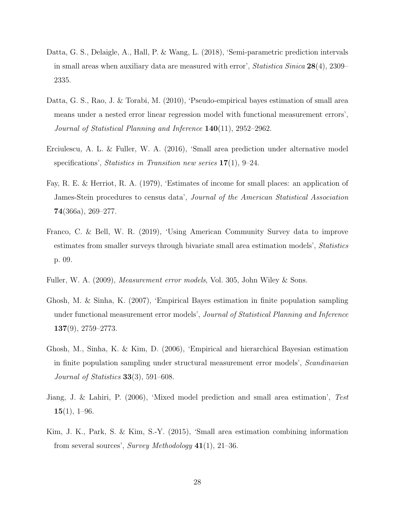- Datta, G. S., Delaigle, A., Hall, P. & Wang, L. (2018), 'Semi-parametric prediction intervals in small areas when auxiliary data are measured with error', *Statistica Sinica*  $28(4)$ , 2309– 2335.
- Datta, G. S., Rao, J. & Torabi, M. (2010), 'Pseudo-empirical bayes estimation of small area means under a nested error linear regression model with functional measurement errors', Journal of Statistical Planning and Inference 140(11), 2952–2962.
- Erciulescu, A. L. & Fuller, W. A. (2016), 'Small area prediction under alternative model specifications', Statistics in Transition new series  $17(1)$ , 9–24.
- Fay, R. E. & Herriot, R. A. (1979), 'Estimates of income for small places: an application of James-Stein procedures to census data', Journal of the American Statistical Association 74(366a), 269–277.
- Franco, C. & Bell, W. R. (2019), 'Using American Community Survey data to improve estimates from smaller surveys through bivariate small area estimation models', Statistics p. 09.
- Fuller, W. A. (2009), Measurement error models, Vol. 305, John Wiley & Sons.
- Ghosh, M. & Sinha, K. (2007), 'Empirical Bayes estimation in finite population sampling under functional measurement error models', Journal of Statistical Planning and Inference  $137(9)$ , 2759–2773.
- Ghosh, M., Sinha, K. & Kim, D. (2006), 'Empirical and hierarchical Bayesian estimation in finite population sampling under structural measurement error models', Scandinavian Journal of Statistics  $33(3)$ , 591–608.
- Jiang, J. & Lahiri, P. (2006), 'Mixed model prediction and small area estimation', Test  $15(1), 1-96.$
- Kim, J. K., Park, S. & Kim, S.-Y. (2015), 'Small area estimation combining information from several sources', Survey Methodology  $41(1)$ , 21–36.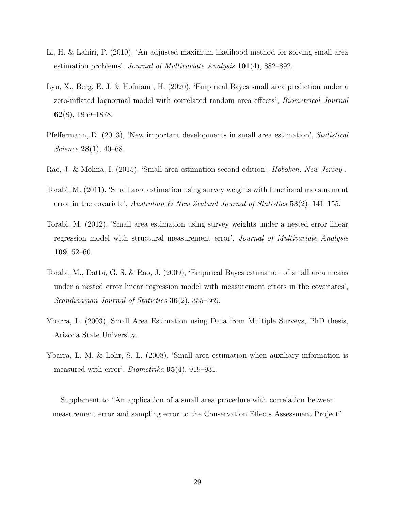- Li, H. & Lahiri, P. (2010), 'An adjusted maximum likelihood method for solving small area estimation problems', Journal of Multivariate Analysis 101(4), 882–892.
- Lyu, X., Berg, E. J. & Hofmann, H. (2020), 'Empirical Bayes small area prediction under a zero-inflated lognormal model with correlated random area effects', Biometrical Journal 62(8), 1859–1878.
- Pfeffermann, D. (2013), 'New important developments in small area estimation', Statistical Science 28(1), 40–68.
- Rao, J. & Molina, I. (2015), 'Small area estimation second edition', Hoboken, New Jersey .
- Torabi, M. (2011), 'Small area estimation using survey weights with functional measurement error in the covariate', Australian & New Zealand Journal of Statistics  $53(2)$ , 141–155.
- Torabi, M. (2012), 'Small area estimation using survey weights under a nested error linear regression model with structural measurement error', Journal of Multivariate Analysis 109, 52–60.
- Torabi, M., Datta, G. S. & Rao, J. (2009), 'Empirical Bayes estimation of small area means under a nested error linear regression model with measurement errors in the covariates', Scandinavian Journal of Statistics **36**(2), 355–369.
- Ybarra, L. (2003), Small Area Estimation using Data from Multiple Surveys, PhD thesis, Arizona State University.
- Ybarra, L. M. & Lohr, S. L. (2008), 'Small area estimation when auxiliary information is measured with error', Biometrika 95(4), 919–931.

Supplement to "An application of a small area procedure with correlation between measurement error and sampling error to the Conservation Effects Assessment Project"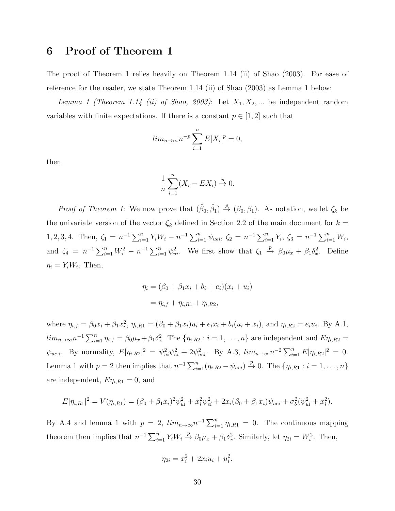## 6 Proof of Theorem 1

The proof of Theorem 1 relies heavily on Theorem 1.14 (ii) of Shao (2003). For ease of reference for the reader, we state Theorem 1.14 (ii) of Shao (2003) as Lemma 1 below:

Lemma 1 (Theorem 1.14 (ii) of Shao, 2003): Let  $X_1, X_2, ...$  be independent random variables with finite expectations. If there is a constant  $p \in [1,2]$  such that

$$
lim_{n \to \infty} n^{-p} \sum_{i=1}^{n} E|X_i|^p = 0,
$$

then

$$
\frac{1}{n}\sum_{i=1}^{n}(X_i - EX_i) \xrightarrow{p} 0.
$$

*Proof of Theorem 1*: We now prove that  $(\hat{\beta}_0, \hat{\beta}_1) \stackrel{p}{\rightarrow} (\beta_0, \beta_1)$ . As notation, we let  $\zeta_k$  be the univariate version of the vector  $\zeta_k$  defined in Section 2.2 of the main document for  $k =$ 1, 2, 3, 4. Then,  $\zeta_1 = n^{-1} \sum_{i=1}^n Y_i W_i - n^{-1} \sum_{i=1}^n \psi_{uei}, \zeta_2 = n^{-1} \sum_{i=1}^n Y_i, \zeta_3 = n^{-1} \sum_{i=1}^n W_i$ , and  $\zeta_4 = n^{-1} \sum_{i=1}^n W_i^2 - n^{-1} \sum_{i=1}^n \psi_{ui}^2$ . We first show that  $\zeta_1 \stackrel{p}{\to} \beta_0 \mu_x + \beta_1 \delta_x^2$ . Define  $\eta_i = Y_i W_i$ . Then,

$$
\eta_i = (\beta_0 + \beta_1 x_i + b_i + e_i)(x_i + u_i)
$$
  
=  $\eta_{i,f} + \eta_{i,R1} + \eta_{i,R2},$ 

where  $\eta_{i,f} = \beta_0 x_i + \beta_1 x_i^2$ ,  $\eta_{i,R1} = (\beta_0 + \beta_1 x_i)u_i + e_i x_i + b_i(u_i + x_i)$ , and  $\eta_{i,R2} = e_i u_i$ . By A.1,  $\lim_{n\to\infty}$  $n^{-1}\sum_{i=1}^n \eta_{i,f} = \beta_0 \mu_x + \beta_1 \delta_x^2$ . The  $\{\eta_{i,R2} : i = 1,\ldots,n\}$  are independent and  $E\eta_{i,R2} =$  $\psi_{ue,i}$ . By normality,  $E|\eta_{i,R2}|^2 = \psi_{ui}^2 \psi_{ei}^2 + 2\psi_{uei}^2$ . By A.3,  $\lim_{n\to\infty} n^{-2} \sum_{i=1}^n E|\eta_{i,R2}|^2 = 0$ . Lemma 1 with  $p = 2$  then implies that  $n^{-1} \sum_{i=1}^{n} (\eta_{i,R2} - \psi_{uei}) \stackrel{p}{\to} 0$ . The  $\{\eta_{i,R1} : i = 1, \ldots, n\}$ are independent,  $E_{\eta_{i,R1}} = 0$ , and

$$
E|\eta_{i, R1}|^2 = V(\eta_{i, R1}) = (\beta_0 + \beta_1 x_i)^2 \psi_{ui}^2 + x_i^2 \psi_{ei}^2 + 2x_i(\beta_0 + \beta_1 x_i) \psi_{uei} + \sigma_b^2(\psi_{ui}^2 + x_i^2).
$$

By A.4 and lemma 1 with  $p = 2$ ,  $\lim_{n \to \infty} n^{-1} \sum_{i=1}^{n} \eta_{i, R1} = 0$ . The continuous mapping theorem then implies that  $n^{-1} \sum_{i=1}^{n} Y_i W_i \stackrel{p}{\to} \beta_0 \mu_x + \beta_1 \delta_x^2$ . Similarly, let  $\eta_{2i} = W_i^2$ . Then,

$$
\eta_{2i} = x_i^2 + 2x_i u_i + u_i^2.
$$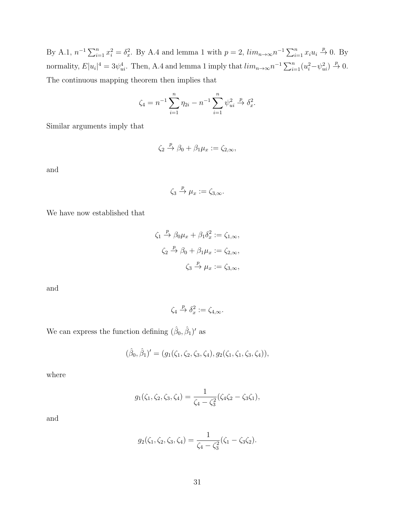By A.1,  $n^{-1} \sum_{i=1}^{n} x_i^2 = \delta_x^2$ . By A.4 and lemma 1 with  $p = 2$ ,  $\lim_{n \to \infty} n^{-1} \sum_{i=1}^{n} x_i u_i \stackrel{p}{\to} 0$ . By normality,  $E|u_i|^4 = 3\psi_{ui}^4$ . Then, A.4 and lemma 1 imply that  $\lim_{n\to\infty} n^{-1} \sum_{i=1}^n (u_i^2 - \psi_{ui}^2) \stackrel{p}{\to} 0$ . The continuous mapping theorem then implies that

$$
\zeta_4 = n^{-1} \sum_{i=1}^n \eta_{2i} - n^{-1} \sum_{i=1}^n \psi_{ui}^2 \xrightarrow{p} \delta_x^2.
$$

Similar arguments imply that

$$
\zeta_2 \stackrel{p}{\to} \beta_0 + \beta_1 \mu_x := \zeta_{2,\infty},
$$

and

$$
\zeta_3 \stackrel{p}{\to} \mu_x := \zeta_{3,\infty}.
$$

We have now established that

$$
\zeta_1 \stackrel{p}{\to} \beta_0 \mu_x + \beta_1 \delta_x^2 := \zeta_{1,\infty},
$$
  

$$
\zeta_2 \stackrel{p}{\to} \beta_0 + \beta_1 \mu_x := \zeta_{2,\infty},
$$
  

$$
\zeta_3 \stackrel{p}{\to} \mu_x := \zeta_{3,\infty},
$$

and

$$
\zeta_4 \xrightarrow{p} \delta_x^2 := \zeta_{4,\infty}.
$$

We can express the function defining  $(\hat{\beta}_0, \hat{\beta}_1)'$  as

$$
(\hat{\beta}_0, \hat{\beta}_1)' = (g_1(\zeta_1, \zeta_2, \zeta_3, \zeta_4), g_2(\zeta_1, \zeta_1, \zeta_3, \zeta_4)),
$$

where

$$
g_1(\zeta_1, \zeta_2, \zeta_3, \zeta_4) = \frac{1}{\zeta_4 - \zeta_3^2} (\zeta_4 \zeta_2 - \zeta_3 \zeta_1),
$$

and

$$
g_2(\zeta_1, \zeta_2, \zeta_3, \zeta_4) = \frac{1}{\zeta_4 - \zeta_3^2} (\zeta_1 - \zeta_3 \zeta_2).
$$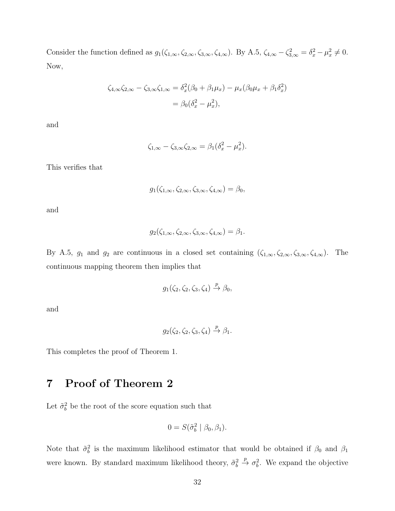Consider the function defined as  $g_1(\zeta_{1,\infty}, \zeta_{2,\infty}, \zeta_{3,\infty}, \zeta_{4,\infty})$ . By A.5,  $\zeta_{4,\infty} - \zeta_{3,\infty}^2 = \delta_x^2 - \mu_x^2 \neq 0$ . Now,

$$
\zeta_{4,\infty}\zeta_{2,\infty} - \zeta_{3,\infty}\zeta_{1,\infty} = \delta_x^2(\beta_0 + \beta_1\mu_x) - \mu_x(\beta_0\mu_x + \beta_1\delta_x^2)
$$

$$
= \beta_0(\delta_x^2 - \mu_x^2),
$$

and

$$
\zeta_{1,\infty} - \zeta_{3,\infty} \zeta_{2,\infty} = \beta_1 (\delta_x^2 - \mu_x^2).
$$

This verifies that

$$
g_1(\zeta_{1,\infty}, \zeta_{2,\infty}, \zeta_{3,\infty}, \zeta_{4,\infty}) = \beta_0,
$$

and

$$
g_2(\zeta_{1,\infty},\zeta_{2,\infty},\zeta_{3,\infty},\zeta_{4,\infty})=\beta_1.
$$

By A.5,  $g_1$  and  $g_2$  are continuous in a closed set containing  $(\zeta_{1,\infty}, \zeta_{2,\infty}, \zeta_{3,\infty}, \zeta_{4,\infty})$ . The continuous mapping theorem then implies that

$$
g_1(\zeta_2, \zeta_2, \zeta_3, \zeta_4) \stackrel{p}{\to} \beta_0,
$$

and

$$
g_2(\zeta_2, \zeta_2, \zeta_3, \zeta_4) \stackrel{p}{\rightarrow} \beta_1.
$$

This completes the proof of Theorem 1.

# 7 Proof of Theorem 2

Let  $\tilde{\sigma}_b^2$  be the root of the score equation such that

$$
0 = S(\tilde{\sigma}_b^2 \mid \beta_0, \beta_1).
$$

Note that  $\tilde{\sigma}_b^2$  is the maximum likelihood estimator that would be obtained if  $\beta_0$  and  $\beta_1$ were known. By standard maximum likelihood theory,  $\tilde{\sigma}_b^2 \stackrel{p}{\to} \sigma_b^2$ . We expand the objective